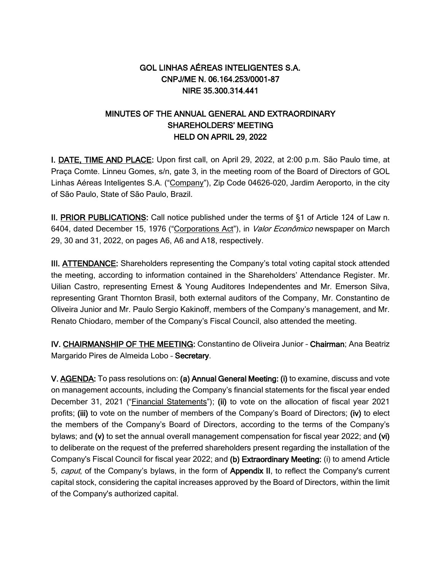# GOL LINHAS AÉREAS INTELIGENTES S.A. CNPJ/ME N. 06.164.253/0001-87 NIRE 35.300.314.441

# MINUTES OF THE ANNUAL GENERAL AND EXTRAORDINARY SHAREHOLDERS' MEETING HELD ON APRIL 29, 2022

I. DATE, TIME AND PLACE: Upon first call, on April 29, 2022, at 2:00 p.m. São Paulo time, at Praça Comte. Linneu Gomes, s/n, gate 3, in the meeting room of the Board of Directors of GOL Linhas Aéreas Inteligentes S.A. ("Company"), Zip Code 04626-020, Jardim Aeroporto, in the city of São Paulo, State of São Paulo, Brazil.

II. PRIOR PUBLICATIONS: Call notice published under the terms of §1 of Article 124 of Law n. 6404, dated December 15, 1976 ("Corporations Act"), in Valor Econômico newspaper on March 29, 30 and 31, 2022, on pages A6, A6 and A18, respectively.

III. ATTENDANCE: Shareholders representing the Company's total voting capital stock attended the meeting, according to information contained in the Shareholders' Attendance Register. Mr. Uilian Castro, representing Ernest & Young Auditores Independentes and Mr. Emerson Silva, representing Grant Thornton Brasil, both external auditors of the Company, Mr. Constantino de Oliveira Junior and Mr. Paulo Sergio Kakinoff, members of the Company's management, and Mr. Renato Chiodaro, member of the Company's Fiscal Council, also attended the meeting.

IV. CHAIRMANSHIP OF THE MEETING: Constantino de Oliveira Junior – Chairman; Ana Beatriz Margarido Pires de Almeida Lobo – Secretary.

V. AGENDA: To pass resolutions on: (a) Annual General Meeting: (i) to examine, discuss and vote on management accounts, including the Company's financial statements for the fiscal year ended December 31, 2021 ("Financial Statements"); (ii) to vote on the allocation of fiscal year 2021 profits; (iii) to vote on the number of members of the Company's Board of Directors; (iv) to elect the members of the Company's Board of Directors, according to the terms of the Company's bylaws; and (v) to set the annual overall management compensation for fiscal year 2022; and (vi) to deliberate on the request of the preferred shareholders present regarding the installation of the Company's Fiscal Council for fiscal year 2022; and (b) Extraordinary Meeting: (i) to amend Article 5, caput, of the Company's bylaws, in the form of Appendix II, to reflect the Company's current capital stock, considering the capital increases approved by the Board of Directors, within the limit of the Company's authorized capital.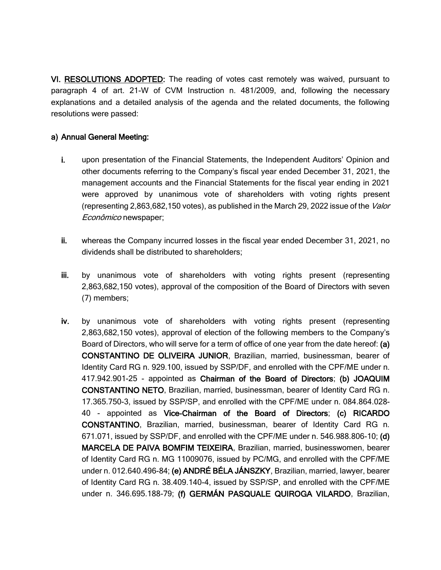VI. RESOLUTIONS ADOPTED: The reading of votes cast remotely was waived, pursuant to paragraph 4 of art. 21-W of CVM Instruction n. 481/2009, and, following the necessary explanations and a detailed analysis of the agenda and the related documents, the following resolutions were passed:

## a) Annual General Meeting:

- i. upon presentation of the Financial Statements, the Independent Auditors' Opinion and other documents referring to the Company's fiscal year ended December 31, 2021, the management accounts and the Financial Statements for the fiscal year ending in 2021 were approved by unanimous vote of shareholders with voting rights present (representing 2,863,682,150 votes), as published in the March 29, 2022 issue of the Valor Econômico newspaper;
- ii. whereas the Company incurred losses in the fiscal year ended December 31, 2021, no dividends shall be distributed to shareholders;
- iii. by unanimous vote of shareholders with voting rights present (representing 2,863,682,150 votes), approval of the composition of the Board of Directors with seven (7) members;
- iv. by unanimous vote of shareholders with voting rights present (representing 2,863,682,150 votes), approval of election of the following members to the Company's Board of Directors, who will serve for a term of office of one year from the date hereof: (a) CONSTANTINO DE OLIVEIRA JUNIOR, Brazilian, married, businessman, bearer of Identity Card RG n. 929.100, issued by SSP/DF, and enrolled with the CPF/ME under n. 417.942.901-25 - appointed as Chairman of the Board of Directors; (b) JOAQUIM CONSTANTINO NETO, Brazilian, married, businessman, bearer of Identity Card RG n. 17.365.750-3, issued by SSP/SP, and enrolled with the CPF/ME under n. 084.864.028- 40 - appointed as Vice-Chairman of the Board of Directors; (c) RICARDO CONSTANTINO, Brazilian, married, businessman, bearer of Identity Card RG n. 671.071, issued by SSP/DF, and enrolled with the CPF/ME under n. 546.988.806-10; (d) MARCELA DE PAIVA BOMFIM TEIXEIRA, Brazilian, married, businesswomen, bearer of Identity Card RG n. MG 11009076, issued by PC/MG, and enrolled with the CPF/ME under n. 012.640.496-84; (e) ANDRÉ BÉLA JÁNSZKY, Brazilian, married, lawyer, bearer of Identity Card RG n. 38.409.140-4, issued by SSP/SP, and enrolled with the CPF/ME under n. 346.695.188-79; (f) GERMÁN PASQUALE QUIROGA VILARDO, Brazilian,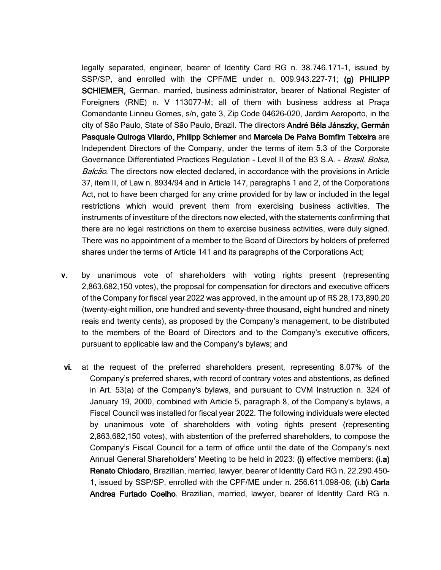legally separated, engineer, bearer of Identity Card RG n. 38.746.171-1, issued by SSP/SP, and enrolled with the CPF/ME under n. 009.943.227-71; (g) PHILIPP SCHIEMER, German, married, business administrator, bearer of National Register of Foreigners (RNE) n. V 113077-M; all of them with business address at Praça Comandante Linneu Gomes, s/n, gate 3, Zip Code 04626-020, Jardim Aeroporto, in the city of São Paulo, State of São Paulo, Brazil. The directors André Béla Jánszky, Germán Pasquale Quiroga Vilardo, Philipp Schiemer and Marcela De Paiva Bomfim Teixeira are Independent Directors of the Company, under the terms of item 5.3 of the Corporate Governance Differentiated Practices Regulation - Level II of the B3 S.A. - Brasil, Bolsa, Balcão. The directors now elected declared, in accordance with the provisions in Article 37, item II, of Law n. 8934/94 and in Article 147, paragraphs 1 and 2, of the Corporations Act, not to have been charged for any crime provided for by law or included in the legal restrictions which would prevent them from exercising business activities. The instruments of investiture of the directors now elected, with the statements confirming that there are no legal restrictions on them to exercise business activities, were duly signed. There was no appointment of a member to the Board of Directors by holders of preferred shares under the terms of Article 141 and its paragraphs of the Corporations Act;

- v. by unanimous vote of shareholders with voting rights present (representing 2,863,682,150 votes), the proposal for compensation for directors and executive officers of the Company for fiscal year 2022 was approved, in the amount up of R\$ 28,173,890.20 (twenty-eight million, one hundred and seventy-three thousand, eight hundred and ninety reais and twenty cents), as proposed by the Company's management, to be distributed to the members of the Board of Directors and to the Company's executive officers, pursuant to applicable law and the Company's bylaws; and
- vi. at the request of the preferred shareholders present, representing 8.07% of the Company's preferred shares, with record of contrary votes and abstentions, as defined in Art. 53(a) of the Company's bylaws, and pursuant to CVM Instruction n. 324 of January 19, 2000, combined with Article 5, paragraph 8, of the Company's bylaws, a Fiscal Council was installed for fiscal year 2022. The following individuals were elected by unanimous vote of shareholders with voting rights present (representing 2,863,682,150 votes), with abstention of the preferred shareholders, to compose the Company's Fiscal Council for a term of office until the date of the Company's next Annual General Shareholders' Meeting to be held in 2023: (i) effective members: (i.a) Renato Chiodaro, Brazilian, married, lawyer, bearer of Identity Card RG n. 22.290.450- 1, issued by SSP/SP, enrolled with the CPF/ME under n. 256.611.098-06; (i.b) Carla Andrea Furtado Coelho, Brazilian, married, lawyer, bearer of Identity Card RG n.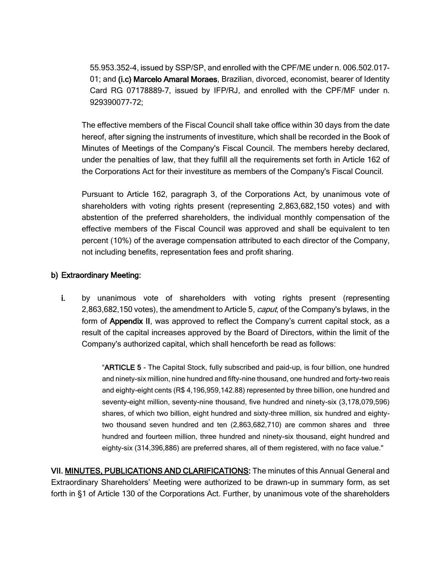55.953.352-4, issued by SSP/SP, and enrolled with the CPF/ME under n. 006.502.017- 01; and (i.c) Marcelo Amaral Moraes, Brazilian, divorced, economist, bearer of Identity Card RG 07178889-7, issued by IFP/RJ, and enrolled with the CPF/MF under n. 929390077-72;

The effective members of the Fiscal Council shall take office within 30 days from the date hereof, after signing the instruments of investiture, which shall be recorded in the Book of Minutes of Meetings of the Company's Fiscal Council. The members hereby declared, under the penalties of law, that they fulfill all the requirements set forth in Article 162 of the Corporations Act for their investiture as members of the Company's Fiscal Council.

Pursuant to Article 162, paragraph 3, of the Corporations Act, by unanimous vote of shareholders with voting rights present (representing 2,863,682,150 votes) and with abstention of the preferred shareholders, the individual monthly compensation of the effective members of the Fiscal Council was approved and shall be equivalent to ten percent (10%) of the average compensation attributed to each director of the Company, not including benefits, representation fees and profit sharing.

### b) Extraordinary Meeting:

i. by unanimous vote of shareholders with voting rights present (representing 2,863,682,150 votes), the amendment to Article 5, *caput*, of the Company's bylaws, in the form of Appendix II, was approved to reflect the Company's current capital stock, as a result of the capital increases approved by the Board of Directors, within the limit of the Company's authorized capital, which shall henceforth be read as follows:

> "ARTICLE 5 - The Capital Stock, fully subscribed and paid-up, is four billion, one hundred and ninety-six million, nine hundred and fifty-nine thousand, one hundred and forty-two reais and eighty-eight cents (R\$ 4,196,959,142.88) represented by three billion, one hundred and seventy-eight million, seventy-nine thousand, five hundred and ninety-six (3,178,079,596) shares, of which two billion, eight hundred and sixty-three million, six hundred and eightytwo thousand seven hundred and ten (2,863,682,710) are common shares and three hundred and fourteen million, three hundred and ninety-six thousand, eight hundred and eighty-six (314,396,886) are preferred shares, all of them registered, with no face value."

VII. MINUTES, PUBLICATIONS AND CLARIFICATIONS: The minutes of this Annual General and Extraordinary Shareholders' Meeting were authorized to be drawn-up in summary form, as set forth in §1 of Article 130 of the Corporations Act. Further, by unanimous vote of the shareholders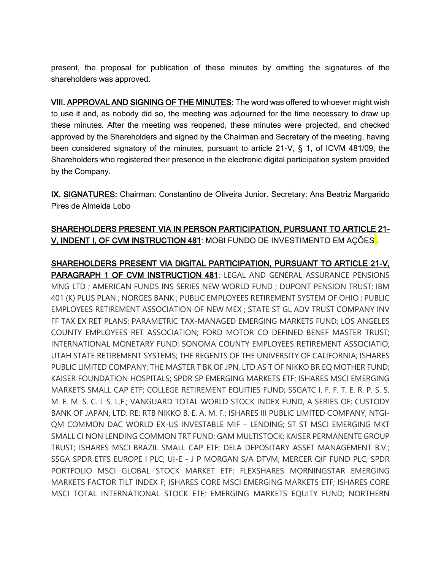present, the proposal for publication of these minutes by omitting the signatures of the shareholders was approved.

VIII. APPROVAL AND SIGNING OF THE MINUTES: The word was offered to whoever might wish to use it and, as nobody did so, the meeting was adjourned for the time necessary to draw up these minutes. After the meeting was reopened, these minutes were projected, and checked approved by the Shareholders and signed by the Chairman and Secretary of the meeting, having been considered signatory of the minutes, pursuant to article 21-V, § 1, of ICVM 481/09, the Shareholders who registered their presence in the electronic digital participation system provided by the Company.

IX. SIGNATURES: Chairman: Constantino de Oliveira Junior. Secretary: Ana Beatriz Margarido Pires de Almeida Lobo

# SHAREHOLDERS PRESENT VIA IN PERSON PARTICIPATION, PURSUANT TO ARTICLE 21- V, INDENT I, OF CVM INSTRUCTION 481: MOBI FUNDO DE INVESTIMENTO EM AÇÕES .

SHAREHOLDERS PRESENT VIA DIGITAL PARTICIPATION, PURSUANT TO ARTICLE 21-V, PARAGRAPH 1 OF CVM INSTRUCTION 481: LEGAL AND GENERAL ASSURANCE PENSIONS MNG LTD ; AMERICAN FUNDS INS SERIES NEW WORLD FUND ; DUPONT PENSION TRUST; IBM 401 (K) PLUS PLAN ; NORGES BANK ; PUBLIC EMPLOYEES RETIREMENT SYSTEM OF OHIO ; PUBLIC EMPLOYEES RETIREMENT ASSOCIATION OF NEW MEX ; STATE ST GL ADV TRUST COMPANY INV FF TAX EX RET PLANS; PARAMETRIC TAX-MANAGED EMERGING MARKETS FUND; LOS ANGELES COUNTY EMPLOYEES RET ASSOCIATION; FORD MOTOR CO DEFINED BENEF MASTER TRUST; INTERNATIONAL MONETARY FUND; SONOMA COUNTY EMPLOYEES RETIREMENT ASSOCIATIO; UTAH STATE RETIREMENT SYSTEMS; THE REGENTS OF THE UNIVERSITY OF CALIFORNIA; ISHARES PUBLIC LIMITED COMPANY; THE MASTER T BK OF JPN, LTD AS T OF NIKKO BR EQ MOTHER FUND; KAISER FOUNDATION HOSPITALS; SPDR SP EMERGING MARKETS ETF; ISHARES MSCI EMERGING MARKETS SMALL CAP ETF; COLLEGE RETIREMENT EQUITIES FUND; SSGATC I. F. F. T. E. R. P. S. S. M. E. M. S. C. I. S. L.F.; VANGUARD TOTAL WORLD STOCK INDEX FUND, A SERIES OF; CUSTODY BANK OF JAPAN, LTD. RE: RTB NIKKO B. E. A. M. F.; ISHARES III PUBLIC LIMITED COMPANY; NTGI-QM COMMON DAC WORLD EX-US INVESTABLE MIF – LENDING; ST ST MSCI EMERGING MKT SMALL CI NON LENDING COMMON TRT FUND; GAM MULTISTOCK; KAISER PERMANENTE GROUP TRUST; ISHARES MSCI BRAZIL SMALL CAP ETF; DELA DEPOSITARY ASSET MANAGEMENT B.V.; SSGA SPDR ETFS EUROPE I PLC; UI-E - J P MORGAN S/A DTVM; MERCER QIF FUND PLC; SPDR PORTFOLIO MSCI GLOBAL STOCK MARKET ETF; FLEXSHARES MORNINGSTAR EMERGING MARKETS FACTOR TILT INDEX F; ISHARES CORE MSCI EMERGING MARKETS ETF; ISHARES CORE MSCI TOTAL INTERNATIONAL STOCK ETF; EMERGING MARKETS EQUITY FUND; NORTHERN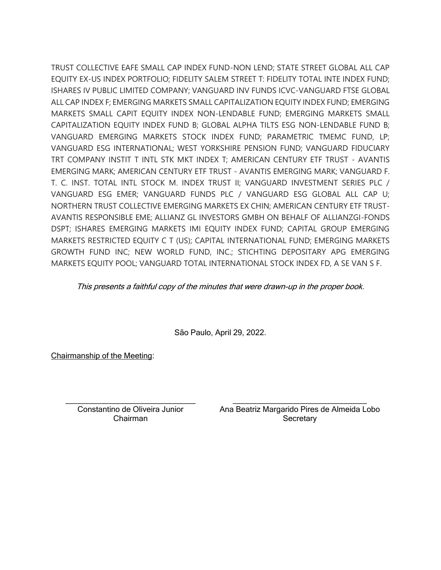TRUST COLLECTIVE EAFE SMALL CAP INDEX FUND-NON LEND; STATE STREET GLOBAL ALL CAP EQUITY EX-US INDEX PORTFOLIO; FIDELITY SALEM STREET T: FIDELITY TOTAL INTE INDEX FUND; ISHARES IV PUBLIC LIMITED COMPANY; VANGUARD INV FUNDS ICVC-VANGUARD FTSE GLOBAL ALL CAP INDEX F; EMERGING MARKETS SMALL CAPITALIZATION EQUITY INDEX FUND; EMERGING MARKETS SMALL CAPIT EQUITY INDEX NON-LENDABLE FUND; EMERGING MARKETS SMALL CAPITALIZATION EQUITY INDEX FUND B; GLOBAL ALPHA TILTS ESG NON-LENDABLE FUND B; VANGUARD EMERGING MARKETS STOCK INDEX FUND; PARAMETRIC TMEMC FUND, LP; VANGUARD ESG INTERNATIONAL; WEST YORKSHIRE PENSION FUND; VANGUARD FIDUCIARY TRT COMPANY INSTIT T INTL STK MKT INDEX T; AMERICAN CENTURY ETF TRUST - AVANTIS EMERGING MARK; AMERICAN CENTURY ETF TRUST - AVANTIS EMERGING MARK; VANGUARD F. T. C. INST. TOTAL INTL STOCK M. INDEX TRUST II; VANGUARD INVESTMENT SERIES PLC / VANGUARD ESG EMER; VANGUARD FUNDS PLC / VANGUARD ESG GLOBAL ALL CAP U; NORTHERN TRUST COLLECTIVE EMERGING MARKETS EX CHIN; AMERICAN CENTURY ETF TRUST-AVANTIS RESPONSIBLE EME; ALLIANZ GL INVESTORS GMBH ON BEHALF OF ALLIANZGI-FONDS DSPT; ISHARES EMERGING MARKETS IMI EQUITY INDEX FUND; CAPITAL GROUP EMERGING MARKETS RESTRICTED EQUITY C T (US); CAPITAL INTERNATIONAL FUND; EMERGING MARKETS GROWTH FUND INC; NEW WORLD FUND, INC.; STICHTING DEPOSITARY APG EMERGING MARKETS EQUITY POOL; VANGUARD TOTAL INTERNATIONAL STOCK INDEX FD, A SE VAN S F.

This presents a faithful copy of the minutes that were drawn-up in the proper book.

São Paulo, April 29, 2022.

Chairmanship of the Meeting:

Constantino de Oliveira Junior Chairman

\_\_\_\_\_\_\_\_\_\_\_\_\_\_\_\_\_\_\_\_\_\_\_\_\_\_\_\_\_\_\_\_\_ \_\_\_\_\_\_\_\_\_\_\_\_\_\_\_\_\_\_\_\_\_\_\_\_\_\_\_\_\_\_\_\_\_\_ Ana Beatriz Margarido Pires de Almeida Lobo **Secretary**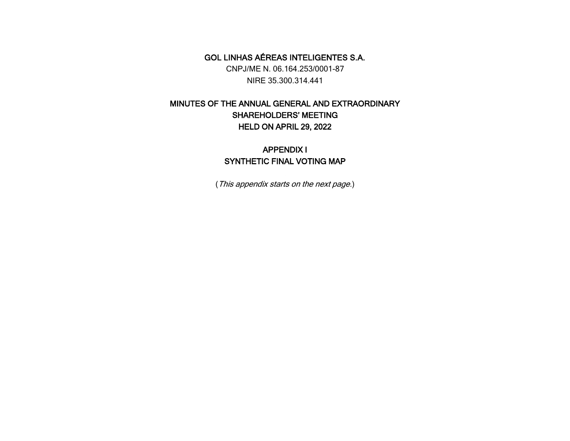GOL LINHAS AÉREAS INTELIGENTES S.A. CNPJ/ME N. 06.164.253/0001-87 NIRE 35.300.314.441

# MINUTES OF THE ANNUAL GENERAL AND EXTRAORDINARY SHAREHOLDERS' MEETING HELD ON APRIL 29, 2022

# APPENDIX I SYNTHETIC FINAL VOTING MAP

(This appendix starts on the next page.)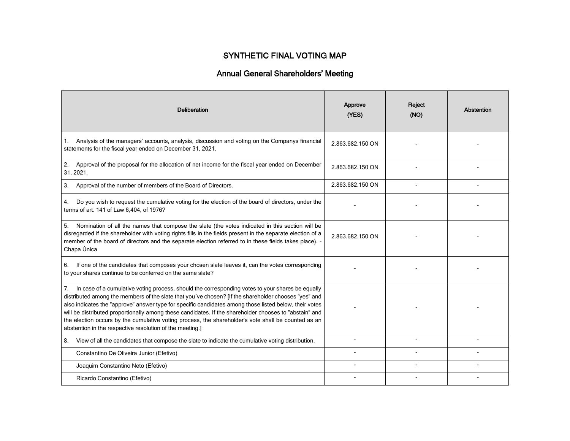## SYNTHETIC FINAL VOTING MAP

# Annual General Shareholders' Meeting

| <b>Deliberation</b>                                                                                                                                                                                                                                                                                                                                                                                                                                                                                                                                                                                   | Approve<br>(YES) | Reject<br>(NO) | Abstention |
|-------------------------------------------------------------------------------------------------------------------------------------------------------------------------------------------------------------------------------------------------------------------------------------------------------------------------------------------------------------------------------------------------------------------------------------------------------------------------------------------------------------------------------------------------------------------------------------------------------|------------------|----------------|------------|
| Analysis of the managers' accounts, analysis, discussion and voting on the Companys financial<br>1.<br>statements for the fiscal year ended on December 31, 2021.                                                                                                                                                                                                                                                                                                                                                                                                                                     | 2.863.682.150 ON |                |            |
| 2.<br>Approval of the proposal for the allocation of net income for the fiscal year ended on December<br>31, 2021.                                                                                                                                                                                                                                                                                                                                                                                                                                                                                    | 2.863.682.150 ON |                |            |
| Approval of the number of members of the Board of Directors.<br>3.                                                                                                                                                                                                                                                                                                                                                                                                                                                                                                                                    | 2.863.682.150 ON |                |            |
| Do you wish to request the cumulative voting for the election of the board of directors, under the<br>4.<br>terms of art. 141 of Law 6,404, of 1976?                                                                                                                                                                                                                                                                                                                                                                                                                                                  |                  |                |            |
| Nomination of all the names that compose the slate (the votes indicated in this section will be<br>5.<br>disregarded if the shareholder with voting rights fills in the fields present in the separate election of a<br>member of the board of directors and the separate election referred to in these fields takes place). -<br>Chapa Única                                                                                                                                                                                                                                                         | 2.863.682.150 ON |                |            |
| If one of the candidates that composes your chosen slate leaves it, can the votes corresponding<br>6.<br>to your shares continue to be conferred on the same slate?                                                                                                                                                                                                                                                                                                                                                                                                                                   |                  |                |            |
| In case of a cumulative voting process, should the corresponding votes to your shares be equally<br>7.<br>distributed among the members of the slate that you've chosen? [If the shareholder chooses "yes" and<br>also indicates the "approve" answer type for specific candidates among those listed below, their votes<br>will be distributed proportionally among these candidates. If the shareholder chooses to "abstain" and<br>the election occurs by the cumulative voting process, the shareholder's vote shall be counted as an<br>abstention in the respective resolution of the meeting.] |                  |                |            |
| View of all the candidates that compose the slate to indicate the cumulative voting distribution.<br>8.                                                                                                                                                                                                                                                                                                                                                                                                                                                                                               |                  |                |            |
| Constantino De Oliveira Junior (Efetivo)                                                                                                                                                                                                                                                                                                                                                                                                                                                                                                                                                              |                  |                |            |
| Joaquim Constantino Neto (Efetivo)                                                                                                                                                                                                                                                                                                                                                                                                                                                                                                                                                                    |                  |                |            |
| Ricardo Constantino (Efetivo)                                                                                                                                                                                                                                                                                                                                                                                                                                                                                                                                                                         |                  |                |            |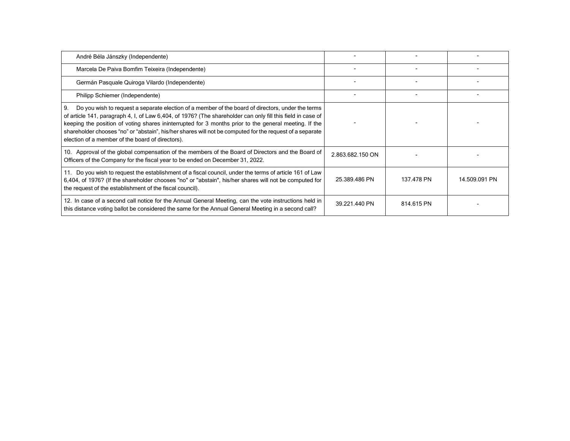| André Béla Jánszky (Independente)                                                                                                                                                                                                                                                                                                                                                                                                                                                                |                  |            |               |
|--------------------------------------------------------------------------------------------------------------------------------------------------------------------------------------------------------------------------------------------------------------------------------------------------------------------------------------------------------------------------------------------------------------------------------------------------------------------------------------------------|------------------|------------|---------------|
| Marcela De Paiva Bomfim Teixeira (Independente)                                                                                                                                                                                                                                                                                                                                                                                                                                                  |                  |            |               |
| Germán Pasquale Quiroga Vilardo (Independente)                                                                                                                                                                                                                                                                                                                                                                                                                                                   |                  |            |               |
| Philipp Schiemer (Independente)                                                                                                                                                                                                                                                                                                                                                                                                                                                                  |                  |            |               |
| Do you wish to request a separate election of a member of the board of directors, under the terms<br>-9.<br>of article 141, paragraph 4, I, of Law 6,404, of 1976? (The shareholder can only fill this field in case of<br>keeping the position of voting shares ininterrupted for 3 months prior to the general meeting. If the<br>shareholder chooses "no" or "abstain", his/her shares will not be computed for the request of a separate<br>election of a member of the board of directors). |                  |            |               |
| 10. Approval of the global compensation of the members of the Board of Directors and the Board of<br>Officers of the Company for the fiscal year to be ended on December 31, 2022.                                                                                                                                                                                                                                                                                                               | 2.863.682.150 ON |            |               |
| 11. Do you wish to request the establishment of a fiscal council, under the terms of article 161 of Law<br>6,404, of 1976? (If the shareholder chooses "no" or "abstain", his/her shares will not be computed for<br>the request of the establishment of the fiscal council).                                                                                                                                                                                                                    | 25.389.486 PN    | 137.478 PN | 14.509.091 PN |
| 12. In case of a second call notice for the Annual General Meeting, can the vote instructions held in<br>this distance voting ballot be considered the same for the Annual General Meeting in a second call?                                                                                                                                                                                                                                                                                     | 39.221.440 PN    | 814.615 PN |               |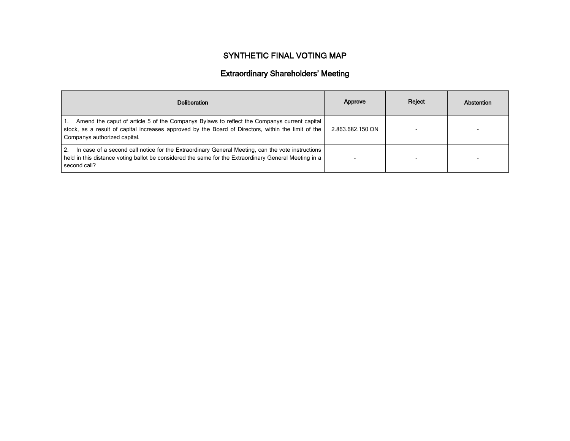# SYNTHETIC FINAL VOTING MAP

# Extraordinary Shareholders' Meeting

| <b>Deliberation</b>                                                                                                                                                                                                                | Approve          | Reject | Abstention |
|------------------------------------------------------------------------------------------------------------------------------------------------------------------------------------------------------------------------------------|------------------|--------|------------|
| Amend the caput of article 5 of the Companys Bylaws to reflect the Companys current capital<br>stock, as a result of capital increases approved by the Board of Directors, within the limit of the<br>Companys authorized capital. | 2.863.682.150 ON |        |            |
| In case of a second call notice for the Extraordinary General Meeting, can the vote instructions<br>2.<br>held in this distance voting ballot be considered the same for the Extraordinary General Meeting in a<br>second call?    |                  |        |            |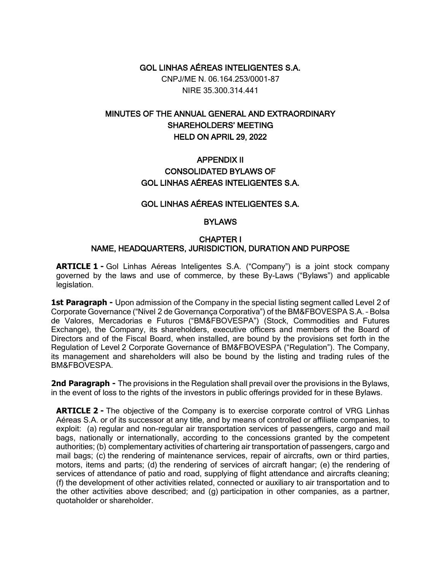GOL LINHAS AÉREAS INTELIGENTES S.A.

CNPJ/ME N. 06.164.253/0001-87 NIRE 35.300.314.441

# MINUTES OF THE ANNUAL GENERAL AND EXTRAORDINARY SHAREHOLDERS' MEETING HELD ON APRIL 29, 2022

# APPENDIX II CONSOLIDATED BYLAWS OF GOL LINHAS AÉREAS INTELIGENTES S.A.

### GOL LINHAS AÉREAS INTELIGENTES S.A.

#### **BYLAWS**

#### CHAPTER I NAME, HEADQUARTERS, JURISDICTION, DURATION AND PURPOSE

**ARTICLE 1 -** Gol Linhas Aéreas Inteligentes S.A. ("Company") is a joint stock company governed by the laws and use of commerce, by these By-Laws ("Bylaws") and applicable legislation.

**1st Paragraph -** Upon admission of the Company in the special listing segment called Level 2 of Corporate Governance ("Nível 2 de Governança Corporativa") of the BM&FBOVESPA S.A. – Bolsa de Valores, Mercadorias e Futuros ("BM&FBOVESPA") (Stock, Commodities and Futures Exchange), the Company, its shareholders, executive officers and members of the Board of Directors and of the Fiscal Board, when installed, are bound by the provisions set forth in the Regulation of Level 2 Corporate Governance of BM&FBOVESPA ("Regulation"). The Company, its management and shareholders will also be bound by the listing and trading rules of the BM&FBOVESPA.

**2nd Paragraph -** The provisions in the Regulation shall prevail over the provisions in the Bylaws, in the event of loss to the rights of the investors in public offerings provided for in these Bylaws.

**ARTICLE 2 -** The objective of the Company is to exercise corporate control of VRG Linhas Aéreas S.A. or of its successor at any title, and by means of controlled or affiliate companies, to exploit: (a) regular and non-regular air transportation services of passengers, cargo and mail bags, nationally or internationally, according to the concessions granted by the competent authorities; (b) complementary activities of chartering air transportation of passengers, cargo and mail bags; (c) the rendering of maintenance services, repair of aircrafts, own or third parties, motors, items and parts; (d) the rendering of services of aircraft hangar; (e) the rendering of services of attendance of patio and road, supplying of flight attendance and aircrafts cleaning; (f) the development of other activities related, connected or auxiliary to air transportation and to the other activities above described; and (g) participation in other companies, as a partner, quotaholder or shareholder.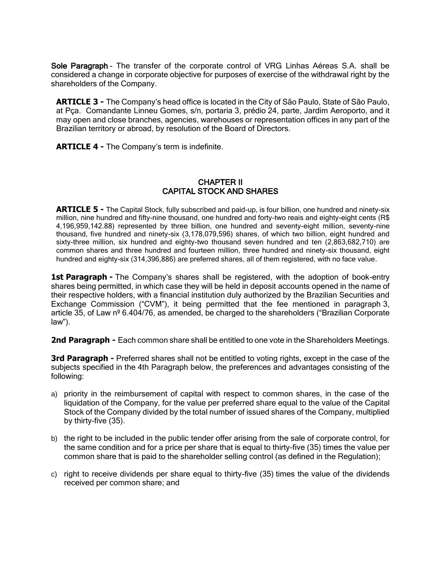Sole Paragraph - The transfer of the corporate control of VRG Linhas Aéreas S.A. shall be considered a change in corporate objective for purposes of exercise of the withdrawal right by the shareholders of the Company.

**ARTICLE 3 -** The Company's head office is located in the City of São Paulo, State of São Paulo, at Pça. Comandante Linneu Gomes, s/n, portaria 3, prédio 24, parte, Jardim Aeroporto, and it may open and close branches, agencies, warehouses or representation offices in any part of the Brazilian territory or abroad, by resolution of the Board of Directors.

**ARTICLE 4 -** The Company's term is indefinite.

### CHAPTER II CAPITAL STOCK AND SHARES

**ARTICLE 5 -** The Capital Stock, fully subscribed and paid-up, is four billion, one hundred and ninety-six million, nine hundred and fifty-nine thousand, one hundred and forty-two reais and eighty-eight cents (R\$ 4,196,959,142.88) represented by three billion, one hundred and seventy-eight million, seventy-nine thousand, five hundred and ninety-six (3,178,079,596) shares, of which two billion, eight hundred and sixty-three million, six hundred and eighty-two thousand seven hundred and ten (2,863,682,710) are common shares and three hundred and fourteen million, three hundred and ninety-six thousand, eight hundred and eighty-six (314,396,886) are preferred shares, all of them registered, with no face value.

1st Paragraph - The Company's shares shall be registered, with the adoption of book-entry shares being permitted, in which case they will be held in deposit accounts opened in the name of their respective holders, with a financial institution duly authorized by the Brazilian Securities and Exchange Commission ("CVM"), it being permitted that the fee mentioned in paragraph 3, article 35, of Law nº 6.404/76, as amended, be charged to the shareholders ("Brazilian Corporate law").

**2nd Paragraph -** Each common share shall be entitled to one vote in the Shareholders Meetings.

**3rd Paragraph -** Preferred shares shall not be entitled to voting rights, except in the case of the subjects specified in the 4th Paragraph below, the preferences and advantages consisting of the following:

- a) priority in the reimbursement of capital with respect to common shares, in the case of the liquidation of the Company, for the value per preferred share equal to the value of the Capital Stock of the Company divided by the total number of issued shares of the Company, multiplied by thirty-five (35).
- b) the right to be included in the public tender offer arising from the sale of corporate control, for the same condition and for a price per share that is equal to thirty-five (35) times the value per common share that is paid to the shareholder selling control (as defined in the Regulation);
- c) right to receive dividends per share equal to thirty-five (35) times the value of the dividends received per common share; and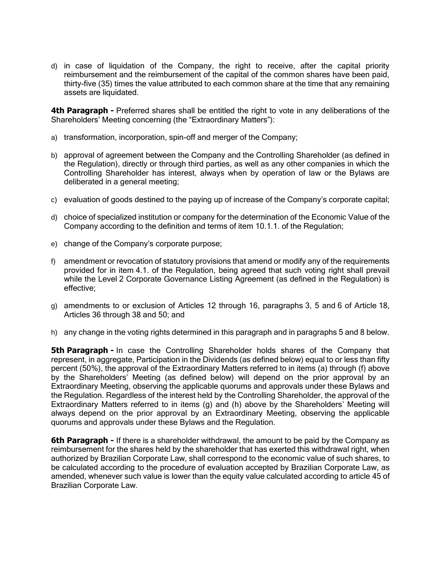d) in case of liquidation of the Company, the right to receive, after the capital priority reimbursement and the reimbursement of the capital of the common shares have been paid, thirty-five (35) times the value attributed to each common share at the time that any remaining assets are liquidated.

**4th Paragraph -** Preferred shares shall be entitled the right to vote in any deliberations of the Shareholders' Meeting concerning (the "Extraordinary Matters"):

- a) transformation, incorporation, spin-off and merger of the Company;
- b) approval of agreement between the Company and the Controlling Shareholder (as defined in the Regulation), directly or through third parties, as well as any other companies in which the Controlling Shareholder has interest, always when by operation of law or the Bylaws are deliberated in a general meeting;
- c) evaluation of goods destined to the paying up of increase of the Company's corporate capital;
- d) choice of specialized institution or company for the determination of the Economic Value of the Company according to the definition and terms of item 10.1.1. of the Regulation;
- e) change of the Company's corporate purpose;
- f) amendment or revocation of statutory provisions that amend or modify any of the requirements provided for in item 4.1. of the Regulation, being agreed that such voting right shall prevail while the Level 2 Corporate Governance Listing Agreement (as defined in the Regulation) is effective;
- g) amendments to or exclusion of Articles 12 through 16, paragraphs 3, 5 and 6 of Article 18, Articles 36 through 38 and 50; and
- h) any change in the voting rights determined in this paragraph and in paragraphs 5 and 8 below.

**5th Paragraph -** In case the Controlling Shareholder holds shares of the Company that represent, in aggregate, Participation in the Dividends (as defined below) equal to or less than fifty percent (50%), the approval of the Extraordinary Matters referred to in items (a) through (f) above by the Shareholders' Meeting (as defined below) will depend on the prior approval by an Extraordinary Meeting, observing the applicable quorums and approvals under these Bylaws and the Regulation. Regardless of the interest held by the Controlling Shareholder, the approval of the Extraordinary Matters referred to in items (g) and (h) above by the Shareholders' Meeting will always depend on the prior approval by an Extraordinary Meeting, observing the applicable quorums and approvals under these Bylaws and the Regulation.

**6th Paragraph -** If there is a shareholder withdrawal, the amount to be paid by the Company as reimbursement for the shares held by the shareholder that has exerted this withdrawal right, when authorized by Brazilian Corporate Law, shall correspond to the economic value of such shares, to be calculated according to the procedure of evaluation accepted by Brazilian Corporate Law, as amended, whenever such value is lower than the equity value calculated according to article 45 of Brazilian Corporate Law.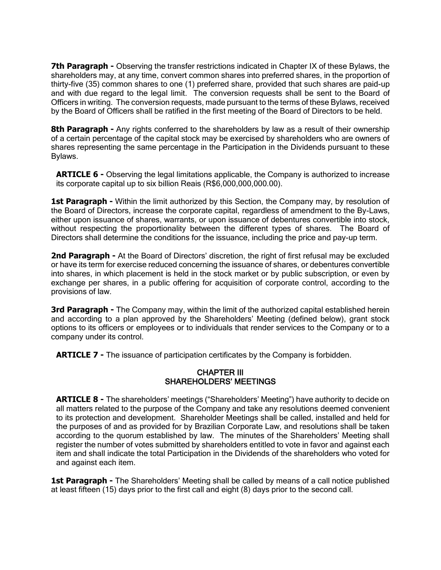**7th Paragraph -** Observing the transfer restrictions indicated in Chapter IX of these Bylaws, the shareholders may, at any time, convert common shares into preferred shares, in the proportion of thirty-five (35) common shares to one (1) preferred share, provided that such shares are paid-up and with due regard to the legal limit. The conversion requests shall be sent to the Board of Officers in writing. The conversion requests, made pursuant to the terms of these Bylaws, received by the Board of Officers shall be ratified in the first meeting of the Board of Directors to be held.

**8th Paragraph -** Any rights conferred to the shareholders by law as a result of their ownership of a certain percentage of the capital stock may be exercised by shareholders who are owners of shares representing the same percentage in the Participation in the Dividends pursuant to these Bylaws.

**ARTICLE 6 -** Observing the legal limitations applicable, the Company is authorized to increase its corporate capital up to six billion Reais (R\$6,000,000,000.00).

1st Paragraph - Within the limit authorized by this Section, the Company may, by resolution of the Board of Directors, increase the corporate capital, regardless of amendment to the By-Laws, either upon issuance of shares, warrants, or upon issuance of debentures convertible into stock, without respecting the proportionality between the different types of shares. The Board of Directors shall determine the conditions for the issuance, including the price and pay-up term.

**2nd Paragraph -** At the Board of Directors' discretion, the right of first refusal may be excluded or have its term for exercise reduced concerning the issuance of shares, or debentures convertible into shares, in which placement is held in the stock market or by public subscription, or even by exchange per shares, in a public offering for acquisition of corporate control, according to the provisions of law.

**3rd Paragraph -** The Company may, within the limit of the authorized capital established herein and according to a plan approved by the Shareholders' Meeting (defined below), grant stock options to its officers or employees or to individuals that render services to the Company or to a company under its control.

**ARTICLE 7 -** The issuance of participation certificates by the Company is forbidden.

### CHAPTER III SHAREHOLDERS' MEETINGS

**ARTICLE 8 -** The shareholders' meetings ("Shareholders' Meeting") have authority to decide on all matters related to the purpose of the Company and take any resolutions deemed convenient to its protection and development. Shareholder Meetings shall be called, installed and held for the purposes of and as provided for by Brazilian Corporate Law, and resolutions shall be taken according to the quorum established by law. The minutes of the Shareholders' Meeting shall register the number of votes submitted by shareholders entitled to vote in favor and against each item and shall indicate the total Participation in the Dividends of the shareholders who voted for and against each item.

**1st Paragraph -** The Shareholders' Meeting shall be called by means of a call notice published at least fifteen (15) days prior to the first call and eight (8) days prior to the second call.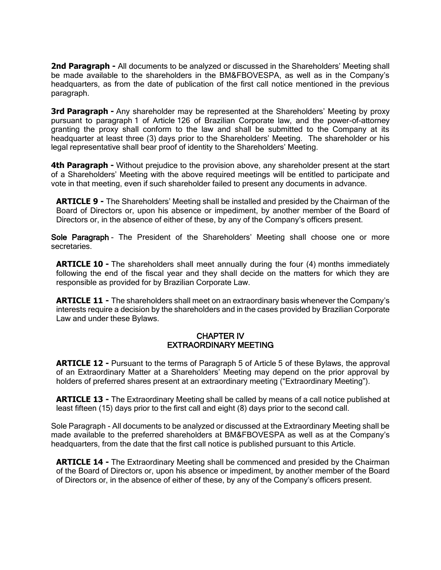**2nd Paragraph -** All documents to be analyzed or discussed in the Shareholders' Meeting shall be made available to the shareholders in the BM&FBOVESPA, as well as in the Company's headquarters, as from the date of publication of the first call notice mentioned in the previous paragraph.

**3rd Paragraph -** Any shareholder may be represented at the Shareholders' Meeting by proxy pursuant to paragraph 1 of Article 126 of Brazilian Corporate law, and the power-of-attorney granting the proxy shall conform to the law and shall be submitted to the Company at its headquarter at least three (3) days prior to the Shareholders' Meeting. The shareholder or his legal representative shall bear proof of identity to the Shareholders' Meeting.

**4th Paragraph -** Without prejudice to the provision above, any shareholder present at the start of a Shareholders' Meeting with the above required meetings will be entitled to participate and vote in that meeting, even if such shareholder failed to present any documents in advance.

**ARTICLE 9 -** The Shareholders' Meeting shall be installed and presided by the Chairman of the Board of Directors or, upon his absence or impediment, by another member of the Board of Directors or, in the absence of either of these, by any of the Company's officers present.

Sole Paragraph - The President of the Shareholders' Meeting shall choose one or more secretaries.

**ARTICLE 10 -** The shareholders shall meet annually during the four (4) months immediately following the end of the fiscal year and they shall decide on the matters for which they are responsible as provided for by Brazilian Corporate Law.

**ARTICLE 11 -** The shareholders shall meet on an extraordinary basis whenever the Company's interests require a decision by the shareholders and in the cases provided by Brazilian Corporate Law and under these Bylaws.

### CHAPTER IV EXTRAORDINARY MEETING

**ARTICLE 12 -** Pursuant to the terms of Paragraph 5 of Article 5 of these Bylaws, the approval of an Extraordinary Matter at a Shareholders' Meeting may depend on the prior approval by holders of preferred shares present at an extraordinary meeting ("Extraordinary Meeting").

**ARTICLE 13 -** The Extraordinary Meeting shall be called by means of a call notice published at least fifteen (15) days prior to the first call and eight (8) days prior to the second call.

Sole Paragraph - All documents to be analyzed or discussed at the Extraordinary Meeting shall be made available to the preferred shareholders at BM&FBOVESPA as well as at the Company's headquarters, from the date that the first call notice is published pursuant to this Article.

**ARTICLE 14 -** The Extraordinary Meeting shall be commenced and presided by the Chairman of the Board of Directors or, upon his absence or impediment, by another member of the Board of Directors or, in the absence of either of these, by any of the Company's officers present.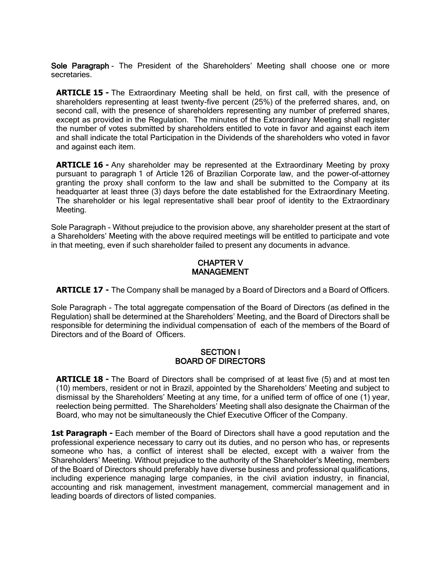Sole Paragraph - The President of the Shareholders' Meeting shall choose one or more secretaries.

**ARTICLE 15 -** The Extraordinary Meeting shall be held, on first call, with the presence of shareholders representing at least twenty-five percent (25%) of the preferred shares, and, on second call, with the presence of shareholders representing any number of preferred shares, except as provided in the Regulation. The minutes of the Extraordinary Meeting shall register the number of votes submitted by shareholders entitled to vote in favor and against each item and shall indicate the total Participation in the Dividends of the shareholders who voted in favor and against each item.

**ARTICLE 16 -** Any shareholder may be represented at the Extraordinary Meeting by proxy pursuant to paragraph 1 of Article 126 of Brazilian Corporate law, and the power-of-attorney granting the proxy shall conform to the law and shall be submitted to the Company at its headquarter at least three (3) days before the date established for the Extraordinary Meeting. The shareholder or his legal representative shall bear proof of identity to the Extraordinary Meeting.

Sole Paragraph - Without prejudice to the provision above, any shareholder present at the start of a Shareholders' Meeting with the above required meetings will be entitled to participate and vote in that meeting, even if such shareholder failed to present any documents in advance.

### CHAPTER V MANAGEMENT

**ARTICLE 17 -** The Company shall be managed by a Board of Directors and a Board of Officers.

Sole Paragraph - The total aggregate compensation of the Board of Directors (as defined in the Regulation) shall be determined at the Shareholders' Meeting, and the Board of Directors shall be responsible for determining the individual compensation of each of the members of the Board of Directors and of the Board of Officers.

#### SECTION I BOARD OF DIRECTORS

**ARTICLE 18 -** The Board of Directors shall be comprised of at least five (5) and at most ten (10) members, resident or not in Brazil, appointed by the Shareholders' Meeting and subject to dismissal by the Shareholders' Meeting at any time, for a unified term of office of one (1) year, reelection being permitted. The Shareholders' Meeting shall also designate the Chairman of the Board, who may not be simultaneously the Chief Executive Officer of the Company.

**1st Paragraph -** Each member of the Board of Directors shall have a good reputation and the professional experience necessary to carry out its duties, and no person who has, or represents someone who has, a conflict of interest shall be elected, except with a waiver from the Shareholders' Meeting. Without prejudice to the authority of the Shareholder's Meeting, members of the Board of Directors should preferably have diverse business and professional qualifications, including experience managing large companies, in the civil aviation industry, in financial, accounting and risk management, investment management, commercial management and in leading boards of directors of listed companies.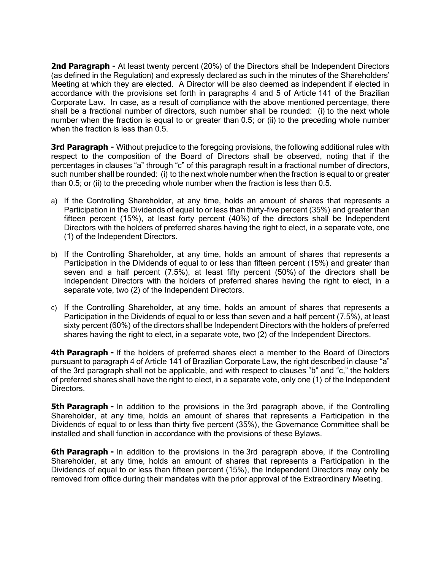**2nd Paragraph -** At least twenty percent (20%) of the Directors shall be Independent Directors (as defined in the Regulation) and expressly declared as such in the minutes of the Shareholders' Meeting at which they are elected. A Director will be also deemed as independent if elected in accordance with the provisions set forth in paragraphs 4 and 5 of Article 141 of the Brazilian Corporate Law. In case, as a result of compliance with the above mentioned percentage, there shall be a fractional number of directors, such number shall be rounded: (i) to the next whole number when the fraction is equal to or greater than 0.5; or (ii) to the preceding whole number when the fraction is less than 0.5.

**3rd Paragraph -** Without prejudice to the foregoing provisions, the following additional rules with respect to the composition of the Board of Directors shall be observed, noting that if the percentages in clauses "a" through "c" of this paragraph result in a fractional number of directors, such number shall be rounded: (i) to the next whole number when the fraction is equal to or greater than 0.5; or (ii) to the preceding whole number when the fraction is less than 0.5.

- a) If the Controlling Shareholder, at any time, holds an amount of shares that represents a Participation in the Dividends of equal to or less than thirty-five percent (35%) and greater than fifteen percent (15%), at least forty percent (40%) of the directors shall be Independent Directors with the holders of preferred shares having the right to elect, in a separate vote, one (1) of the Independent Directors.
- b) If the Controlling Shareholder, at any time, holds an amount of shares that represents a Participation in the Dividends of equal to or less than fifteen percent (15%) and greater than seven and a half percent (7.5%), at least fifty percent (50%) of the directors shall be Independent Directors with the holders of preferred shares having the right to elect, in a separate vote, two (2) of the Independent Directors.
- c) If the Controlling Shareholder, at any time, holds an amount of shares that represents a Participation in the Dividends of equal to or less than seven and a half percent (7.5%), at least sixty percent (60%) of the directors shall be Independent Directors with the holders of preferred shares having the right to elect, in a separate vote, two (2) of the Independent Directors.

**4th Paragraph -** If the holders of preferred shares elect a member to the Board of Directors pursuant to paragraph 4 of Article 141 of Brazilian Corporate Law, the right described in clause "a" of the 3rd paragraph shall not be applicable, and with respect to clauses "b" and "c," the holders of preferred shares shall have the right to elect, in a separate vote, only one (1) of the Independent Directors.

**5th Paragraph -** In addition to the provisions in the 3rd paragraph above, if the Controlling Shareholder, at any time, holds an amount of shares that represents a Participation in the Dividends of equal to or less than thirty five percent (35%), the Governance Committee shall be installed and shall function in accordance with the provisions of these Bylaws.

**6th Paragraph -** In addition to the provisions in the 3rd paragraph above, if the Controlling Shareholder, at any time, holds an amount of shares that represents a Participation in the Dividends of equal to or less than fifteen percent (15%), the Independent Directors may only be removed from office during their mandates with the prior approval of the Extraordinary Meeting.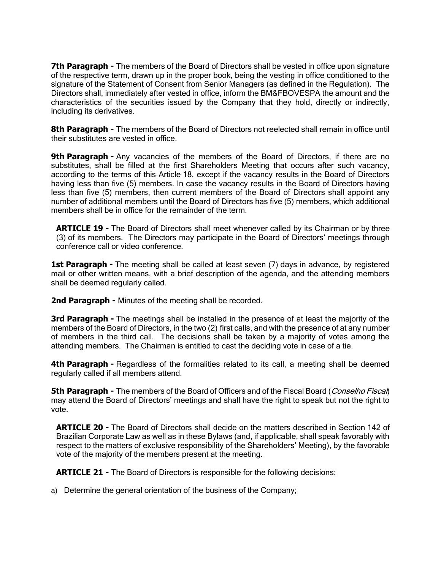**7th Paragraph -** The members of the Board of Directors shall be vested in office upon signature of the respective term, drawn up in the proper book, being the vesting in office conditioned to the signature of the Statement of Consent from Senior Managers (as defined in the Regulation). The Directors shall, immediately after vested in office, inform the BM&FBOVESPA the amount and the characteristics of the securities issued by the Company that they hold, directly or indirectly, including its derivatives.

**8th Paragraph -** The members of the Board of Directors not reelected shall remain in office until their substitutes are vested in office.

**9th Paragraph -** Any vacancies of the members of the Board of Directors, if there are no substitutes, shall be filled at the first Shareholders Meeting that occurs after such vacancy, according to the terms of this Article 18, except if the vacancy results in the Board of Directors having less than five (5) members. In case the vacancy results in the Board of Directors having less than five (5) members, then current members of the Board of Directors shall appoint any number of additional members until the Board of Directors has five (5) members, which additional members shall be in office for the remainder of the term.

**ARTICLE 19 -** The Board of Directors shall meet whenever called by its Chairman or by three (3) of its members. The Directors may participate in the Board of Directors' meetings through conference call or video conference.

**1st Paragraph -** The meeting shall be called at least seven (7) days in advance, by registered mail or other written means, with a brief description of the agenda, and the attending members shall be deemed regularly called.

**2nd Paragraph -** Minutes of the meeting shall be recorded.

**3rd Paragraph -** The meetings shall be installed in the presence of at least the majority of the members of the Board of Directors, in the two (2) first calls, and with the presence of at any number of members in the third call. The decisions shall be taken by a majority of votes among the attending members. The Chairman is entitled to cast the deciding vote in case of a tie.

**4th Paragraph -** Regardless of the formalities related to its call, a meeting shall be deemed regularly called if all members attend.

**5th Paragraph -** The members of the Board of Officers and of the Fiscal Board (*Conselho Fiscal*) may attend the Board of Directors' meetings and shall have the right to speak but not the right to vote.

**ARTICLE 20 -** The Board of Directors shall decide on the matters described in Section 142 of Brazilian Corporate Law as well as in these Bylaws (and, if applicable, shall speak favorably with respect to the matters of exclusive responsibility of the Shareholders' Meeting), by the favorable vote of the majority of the members present at the meeting.

**ARTICLE 21 -** The Board of Directors is responsible for the following decisions:

a) Determine the general orientation of the business of the Company;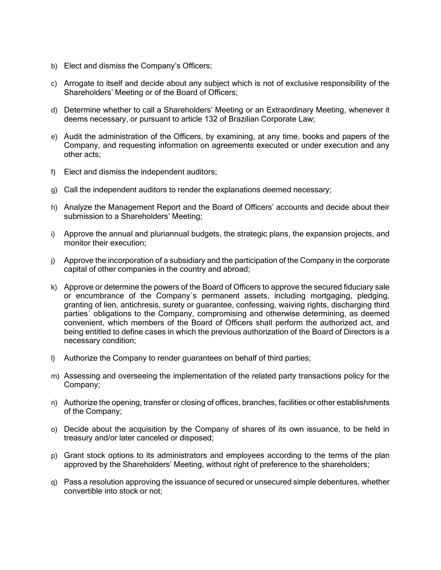- b) Elect and dismiss the Company's Officers;
- c) Arrogate to itself and decide about any subject which is not of exclusive responsibility of the Shareholders' Meeting or of the Board of Officers;
- d) Determine whether to call a Shareholders' Meeting or an Extraordinary Meeting, whenever it deems necessary, or pursuant to article 132 of Brazilian Corporate Law;
- e) Audit the administration of the Officers, by examining, at any time, books and papers of the Company, and requesting information on agreements executed or under execution and any other acts;
- f) Elect and dismiss the independent auditors;
- g) Call the independent auditors to render the explanations deemed necessary;
- h) Analyze the Management Report and the Board of Officers' accounts and decide about their submission to a Shareholders' Meeting;
- i) Approve the annual and pluriannual budgets, the strategic plans, the expansion projects, and monitor their execution;
- j) Approve the incorporation of a subsidiary and the participation of the Company in the corporate capital of other companies in the country and abroad;
- k) Approve or determine the powers of the Board of Officers to approve the secured fiduciary sale or encumbrance of the Company´s permanent assets, including mortgaging, pledging, granting of lien, antichresis, surety or guarantee, confessing, waiving rights, discharging third parties´ obligations to the Company, compromising and otherwise determining, as deemed convenient, which members of the Board of Officers shall perform the authorized act, and being entitled to define cases in which the previous authorization of the Board of Directors is a necessary condition;
- l) Authorize the Company to render guarantees on behalf of third parties;
- m) Assessing and overseeing the implementation of the related party transactions policy for the Company;
- n) Authorize the opening, transfer or closing of offices, branches, facilities or other establishments of the Company;
- o) Decide about the acquisition by the Company of shares of its own issuance, to be held in treasury and/or later canceled or disposed;
- p) Grant stock options to its administrators and employees according to the terms of the plan approved by the Shareholders' Meeting, without right of preference to the shareholders;
- q) Pass a resolution approving the issuance of secured or unsecured simple debentures, whether convertible into stock or not;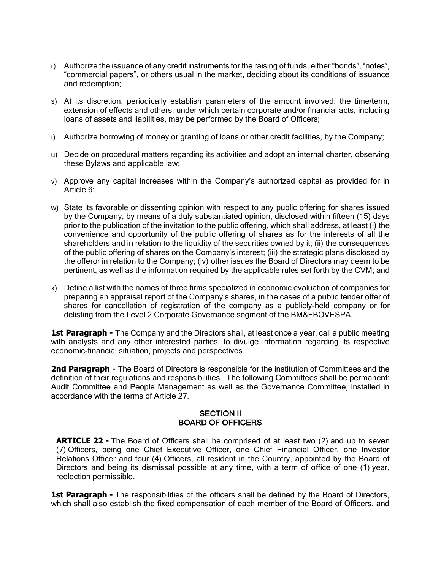- r) Authorize the issuance of any credit instruments for the raising of funds, either "bonds", "notes", "commercial papers", or others usual in the market, deciding about its conditions of issuance and redemption;
- s) At its discretion, periodically establish parameters of the amount involved, the time/term, extension of effects and others, under which certain corporate and/or financial acts, including loans of assets and liabilities, may be performed by the Board of Officers;
- t) Authorize borrowing of money or granting of loans or other credit facilities, by the Company;
- u) Decide on procedural matters regarding its activities and adopt an internal charter, observing these Bylaws and applicable law;
- v) Approve any capital increases within the Company's authorized capital as provided for in Article 6;
- w) State its favorable or dissenting opinion with respect to any public offering for shares issued by the Company, by means of a duly substantiated opinion, disclosed within fifteen (15) days prior to the publication of the invitation to the public offering, which shall address, at least (i) the convenience and opportunity of the public offering of shares as for the interests of all the shareholders and in relation to the liquidity of the securities owned by it; (ii) the consequences of the public offering of shares on the Company's interest; (iii) the strategic plans disclosed by the offeror in relation to the Company; (iv) other issues the Board of Directors may deem to be pertinent, as well as the information required by the applicable rules set forth by the CVM; and
- x) Define a list with the names of three firms specialized in economic evaluation of companies for preparing an appraisal report of the Company's shares, in the cases of a public tender offer of shares for cancellation of registration of the company as a publicly-held company or for delisting from the Level 2 Corporate Governance segment of the BM&FBOVESPA.

**1st Paragraph -** The Company and the Directors shall, at least once a year, call a public meeting with analysts and any other interested parties, to divulge information regarding its respective economic-financial situation, projects and perspectives.

**2nd Paragraph -** The Board of Directors is responsible for the institution of Committees and the definition of their regulations and responsibilities. The following Committees shall be permanent: Audit Committee and People Management as well as the Governance Committee, installed in accordance with the terms of Article 27.

#### SECTION II BOARD OF OFFICERS

**ARTICLE 22 -** The Board of Officers shall be comprised of at least two (2) and up to seven (7) Officers, being one Chief Executive Officer, one Chief Financial Officer, one Investor Relations Officer and four (4) Officers, all resident in the Country, appointed by the Board of Directors and being its dismissal possible at any time, with a term of office of one (1) year, reelection permissible.

**1st Paragraph -** The responsibilities of the officers shall be defined by the Board of Directors, which shall also establish the fixed compensation of each member of the Board of Officers, and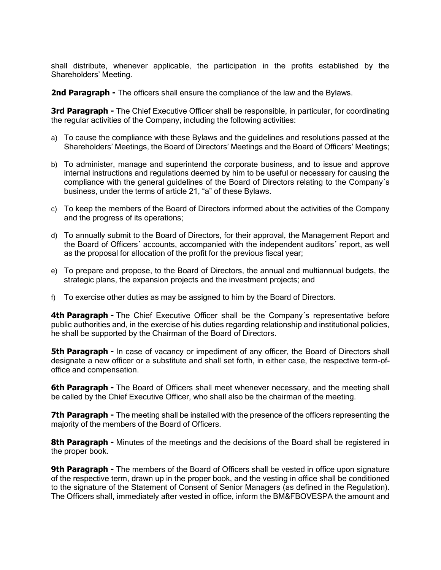shall distribute, whenever applicable, the participation in the profits established by the Shareholders' Meeting.

**2nd Paragraph -** The officers shall ensure the compliance of the law and the Bylaws.

**3rd Paragraph -** The Chief Executive Officer shall be responsible, in particular, for coordinating the regular activities of the Company, including the following activities:

- a) To cause the compliance with these Bylaws and the guidelines and resolutions passed at the Shareholders' Meetings, the Board of Directors' Meetings and the Board of Officers' Meetings;
- b) To administer, manage and superintend the corporate business, and to issue and approve internal instructions and regulations deemed by him to be useful or necessary for causing the compliance with the general guidelines of the Board of Directors relating to the Company´s business, under the terms of article 21, "a" of these Bylaws.
- c) To keep the members of the Board of Directors informed about the activities of the Company and the progress of its operations;
- d) To annually submit to the Board of Directors, for their approval, the Management Report and the Board of Officers´ accounts, accompanied with the independent auditors´ report, as well as the proposal for allocation of the profit for the previous fiscal year;
- e) To prepare and propose, to the Board of Directors, the annual and multiannual budgets, the strategic plans, the expansion projects and the investment projects; and
- f) To exercise other duties as may be assigned to him by the Board of Directors.

**4th Paragraph -** The Chief Executive Officer shall be the Company's representative before public authorities and, in the exercise of his duties regarding relationship and institutional policies, he shall be supported by the Chairman of the Board of Directors.

**5th Paragraph -** In case of vacancy or impediment of any officer, the Board of Directors shall designate a new officer or a substitute and shall set forth, in either case, the respective term-ofoffice and compensation.

**6th Paragraph -** The Board of Officers shall meet whenever necessary, and the meeting shall be called by the Chief Executive Officer, who shall also be the chairman of the meeting.

**7th Paragraph -** The meeting shall be installed with the presence of the officers representing the majority of the members of the Board of Officers.

**8th Paragraph -** Minutes of the meetings and the decisions of the Board shall be registered in the proper book.

**9th Paragraph -** The members of the Board of Officers shall be vested in office upon signature of the respective term, drawn up in the proper book, and the vesting in office shall be conditioned to the signature of the Statement of Consent of Senior Managers (as defined in the Regulation). The Officers shall, immediately after vested in office, inform the BM&FBOVESPA the amount and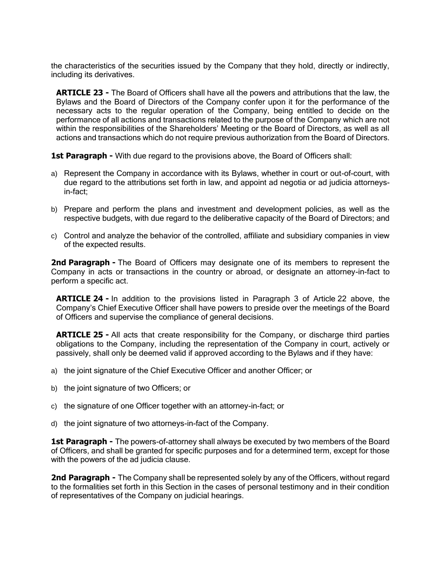the characteristics of the securities issued by the Company that they hold, directly or indirectly, including its derivatives.

**ARTICLE 23 -** The Board of Officers shall have all the powers and attributions that the law, the Bylaws and the Board of Directors of the Company confer upon it for the performance of the necessary acts to the regular operation of the Company, being entitled to decide on the performance of all actions and transactions related to the purpose of the Company which are not within the responsibilities of the Shareholders' Meeting or the Board of Directors, as well as all actions and transactions which do not require previous authorization from the Board of Directors.

**1st Paragraph -** With due regard to the provisions above, the Board of Officers shall:

- a) Represent the Company in accordance with its Bylaws, whether in court or out-of-court, with due regard to the attributions set forth in law, and appoint ad negotia or ad judicia attorneysin-fact;
- b) Prepare and perform the plans and investment and development policies, as well as the respective budgets, with due regard to the deliberative capacity of the Board of Directors; and
- c) Control and analyze the behavior of the controlled, affiliate and subsidiary companies in view of the expected results.

**2nd Paragraph -** The Board of Officers may designate one of its members to represent the Company in acts or transactions in the country or abroad, or designate an attorney-in-fact to perform a specific act.

**ARTICLE 24 -** In addition to the provisions listed in Paragraph 3 of Article 22 above, the Company's Chief Executive Officer shall have powers to preside over the meetings of the Board of Officers and supervise the compliance of general decisions.

**ARTICLE 25 -** All acts that create responsibility for the Company, or discharge third parties obligations to the Company, including the representation of the Company in court, actively or passively, shall only be deemed valid if approved according to the Bylaws and if they have:

- a) the joint signature of the Chief Executive Officer and another Officer; or
- b) the joint signature of two Officers; or
- c) the signature of one Officer together with an attorney-in-fact; or
- d) the joint signature of two attorneys-in-fact of the Company.

**1st Paragraph -** The powers-of-attorney shall always be executed by two members of the Board of Officers, and shall be granted for specific purposes and for a determined term, except for those with the powers of the ad judicia clause.

**2nd Paragraph -** The Company shall be represented solely by any of the Officers, without regard to the formalities set forth in this Section in the cases of personal testimony and in their condition of representatives of the Company on judicial hearings.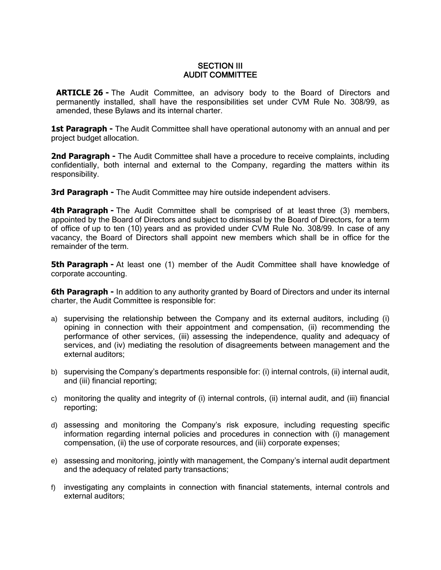#### SECTION III AUDIT COMMITTEE

**ARTICLE 26 -** The Audit Committee, an advisory body to the Board of Directors and permanently installed, shall have the responsibilities set under CVM Rule No. 308/99, as amended, these Bylaws and its internal charter.

**1st Paragraph -** The Audit Committee shall have operational autonomy with an annual and per project budget allocation.

**2nd Paragraph -** The Audit Committee shall have a procedure to receive complaints, including confidentially, both internal and external to the Company, regarding the matters within its responsibility.

**3rd Paragraph -** The Audit Committee may hire outside independent advisers.

**4th Paragraph -** The Audit Committee shall be comprised of at least three (3) members, appointed by the Board of Directors and subject to dismissal by the Board of Directors, for a term of office of up to ten (10) years and as provided under CVM Rule No. 308/99. In case of any vacancy, the Board of Directors shall appoint new members which shall be in office for the remainder of the term.

**5th Paragraph -** At least one (1) member of the Audit Committee shall have knowledge of corporate accounting.

**6th Paragraph -** In addition to any authority granted by Board of Directors and under its internal charter, the Audit Committee is responsible for:

- a) supervising the relationship between the Company and its external auditors, including (i) opining in connection with their appointment and compensation, (ii) recommending the performance of other services, (iii) assessing the independence, quality and adequacy of services, and (iv) mediating the resolution of disagreements between management and the external auditors;
- b) supervising the Company's departments responsible for: (i) internal controls, (ii) internal audit, and (iii) financial reporting;
- c) monitoring the quality and integrity of (i) internal controls, (ii) internal audit, and (iii) financial reporting;
- d) assessing and monitoring the Company's risk exposure, including requesting specific information regarding internal policies and procedures in connection with (i) management compensation, (ii) the use of corporate resources, and (iii) corporate expenses;
- e) assessing and monitoring, jointly with management, the Company's internal audit department and the adequacy of related party transactions;
- f) investigating any complaints in connection with financial statements, internal controls and external auditors;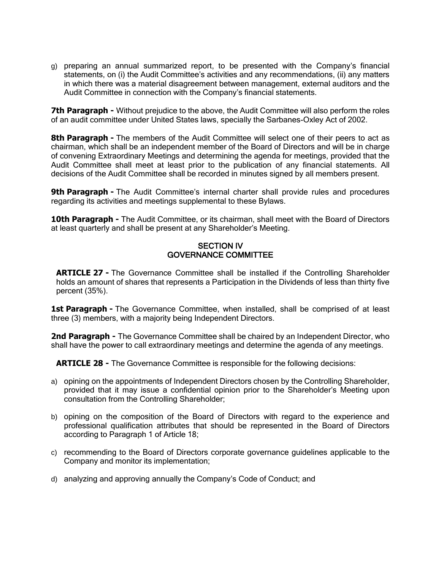g) preparing an annual summarized report, to be presented with the Company's financial statements, on (i) the Audit Committee's activities and any recommendations, (ii) any matters in which there was a material disagreement between management, external auditors and the Audit Committee in connection with the Company's financial statements.

**7th Paragraph -** Without prejudice to the above, the Audit Committee will also perform the roles of an audit committee under United States laws, specially the Sarbanes-Oxley Act of 2002.

**8th Paragraph -** The members of the Audit Committee will select one of their peers to act as chairman, which shall be an independent member of the Board of Directors and will be in charge of convening Extraordinary Meetings and determining the agenda for meetings, provided that the Audit Committee shall meet at least prior to the publication of any financial statements. All decisions of the Audit Committee shall be recorded in minutes signed by all members present.

**9th Paragraph -** The Audit Committee's internal charter shall provide rules and procedures regarding its activities and meetings supplemental to these Bylaws.

**10th Paragraph -** The Audit Committee, or its chairman, shall meet with the Board of Directors at least quarterly and shall be present at any Shareholder's Meeting.

#### SECTION IV GOVERNANCE COMMITTEE

**ARTICLE 27 -** The Governance Committee shall be installed if the Controlling Shareholder holds an amount of shares that represents a Participation in the Dividends of less than thirty five percent (35%).

1st Paragraph - The Governance Committee, when installed, shall be comprised of at least three (3) members, with a majority being Independent Directors.

**2nd Paragraph -** The Governance Committee shall be chaired by an Independent Director, who shall have the power to call extraordinary meetings and determine the agenda of any meetings.

**ARTICLE 28 -** The Governance Committee is responsible for the following decisions:

- a) opining on the appointments of Independent Directors chosen by the Controlling Shareholder, provided that it may issue a confidential opinion prior to the Shareholder's Meeting upon consultation from the Controlling Shareholder;
- b) opining on the composition of the Board of Directors with regard to the experience and professional qualification attributes that should be represented in the Board of Directors according to Paragraph 1 of Article 18;
- c) recommending to the Board of Directors corporate governance guidelines applicable to the Company and monitor its implementation;
- d) analyzing and approving annually the Company's Code of Conduct; and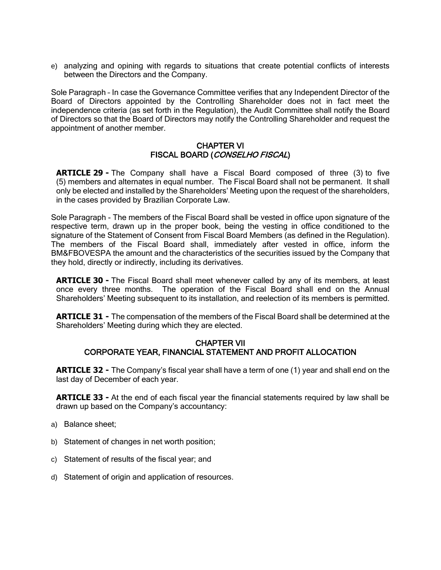e) analyzing and opining with regards to situations that create potential conflicts of interests between the Directors and the Company.

Sole Paragraph – In case the Governance Committee verifies that any Independent Director of the Board of Directors appointed by the Controlling Shareholder does not in fact meet the independence criteria (as set forth in the Regulation), the Audit Committee shall notify the Board of Directors so that the Board of Directors may notify the Controlling Shareholder and request the appointment of another member.

#### CHAPTER VI FISCAL BOARD (CONSELHO FISCAL)

**ARTICLE 29 -** The Company shall have a Fiscal Board composed of three (3) to five (5) members and alternates in equal number. The Fiscal Board shall not be permanent. It shall only be elected and installed by the Shareholders' Meeting upon the request of the shareholders, in the cases provided by Brazilian Corporate Law.

Sole Paragraph - The members of the Fiscal Board shall be vested in office upon signature of the respective term, drawn up in the proper book, being the vesting in office conditioned to the signature of the Statement of Consent from Fiscal Board Members (as defined in the Regulation). The members of the Fiscal Board shall, immediately after vested in office, inform the BM&FBOVESPA the amount and the characteristics of the securities issued by the Company that they hold, directly or indirectly, including its derivatives.

**ARTICLE 30 -** The Fiscal Board shall meet whenever called by any of its members, at least once every three months. The operation of the Fiscal Board shall end on the Annual Shareholders' Meeting subsequent to its installation, and reelection of its members is permitted.

**ARTICLE 31 -** The compensation of the members of the Fiscal Board shall be determined at the Shareholders' Meeting during which they are elected.

### CHAPTER VII CORPORATE YEAR, FINANCIAL STATEMENT AND PROFIT ALLOCATION

**ARTICLE 32 -** The Company's fiscal year shall have a term of one (1) year and shall end on the last day of December of each year.

**ARTICLE 33 -** At the end of each fiscal year the financial statements required by law shall be drawn up based on the Company's accountancy:

- a) Balance sheet;
- b) Statement of changes in net worth position;
- c) Statement of results of the fiscal year; and
- d) Statement of origin and application of resources.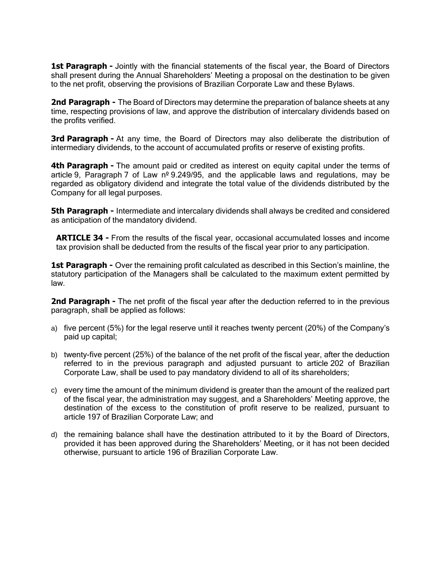**1st Paragraph -** Jointly with the financial statements of the fiscal year, the Board of Directors shall present during the Annual Shareholders' Meeting a proposal on the destination to be given to the net profit, observing the provisions of Brazilian Corporate Law and these Bylaws.

**2nd Paragraph -** The Board of Directors may determine the preparation of balance sheets at any time, respecting provisions of law, and approve the distribution of intercalary dividends based on the profits verified.

**3rd Paragraph -** At any time, the Board of Directors may also deliberate the distribution of intermediary dividends, to the account of accumulated profits or reserve of existing profits.

**4th Paragraph -** The amount paid or credited as interest on equity capital under the terms of article 9, Paragraph 7 of Law  $n^{\circ}$  9.249/95, and the applicable laws and regulations, may be regarded as obligatory dividend and integrate the total value of the dividends distributed by the Company for all legal purposes.

**5th Paragraph -** Intermediate and intercalary dividends shall always be credited and considered as anticipation of the mandatory dividend.

**ARTICLE 34 -** From the results of the fiscal year, occasional accumulated losses and income tax provision shall be deducted from the results of the fiscal year prior to any participation.

**1st Paragraph -** Over the remaining profit calculated as described in this Section's mainline, the statutory participation of the Managers shall be calculated to the maximum extent permitted by law.

**2nd Paragraph -** The net profit of the fiscal year after the deduction referred to in the previous paragraph, shall be applied as follows:

- a) five percent (5%) for the legal reserve until it reaches twenty percent (20%) of the Company's paid up capital;
- b) twenty-five percent (25%) of the balance of the net profit of the fiscal year, after the deduction referred to in the previous paragraph and adjusted pursuant to article 202 of Brazilian Corporate Law, shall be used to pay mandatory dividend to all of its shareholders;
- c) every time the amount of the minimum dividend is greater than the amount of the realized part of the fiscal year, the administration may suggest, and a Shareholders' Meeting approve, the destination of the excess to the constitution of profit reserve to be realized, pursuant to article 197 of Brazilian Corporate Law; and
- d) the remaining balance shall have the destination attributed to it by the Board of Directors, provided it has been approved during the Shareholders' Meeting, or it has not been decided otherwise, pursuant to article 196 of Brazilian Corporate Law.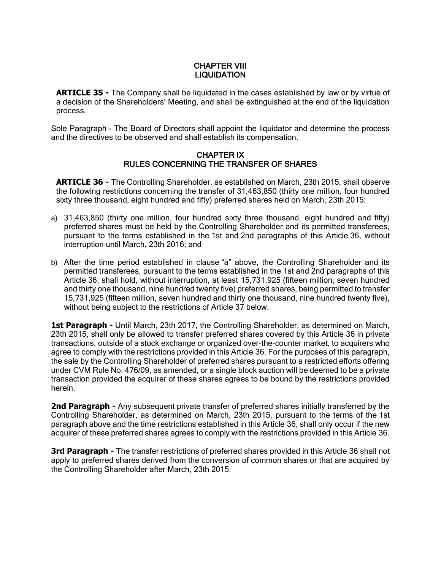### CHAPTER VIII **LIQUIDATION**

**ARTICLE 35 -** The Company shall be liquidated in the cases established by law or by virtue of a decision of the Shareholders' Meeting, and shall be extinguished at the end of the liquidation process.

Sole Paragraph - The Board of Directors shall appoint the liquidator and determine the process and the directives to be observed and shall establish its compensation.

#### CHAPTER IX RULES CONCERNING THE TRANSFER OF SHARES

**ARTICLE 36 -** The Controlling Shareholder, as established on March, 23th 2015, shall observe the following restrictions concerning the transfer of 31,463,850 (thirty one million, four hundred sixty three thousand, eight hundred and fifty) preferred shares held on March, 23th 2015:

- a) 31,463,850 (thirty one million, four hundred sixty three thousand, eight hundred and fifty) preferred shares must be held by the Controlling Shareholder and its permitted transferees, pursuant to the terms established in the 1st and 2nd paragraphs of this Article 36, without interruption until March, 23th 2016; and
- b) After the time period established in clause "a" above, the Controlling Shareholder and its permitted transferees, pursuant to the terms established in the 1st and 2nd paragraphs of this Article 36, shall hold, without interruption, at least 15,731,925 (fifteen million, seven hundred and thirty one thousand, nine hundred twenty five) preferred shares, being permitted to transfer 15,731,925 (fifteen million, seven hundred and thirty one thousand, nine hundred twenty five), without being subject to the restrictions of Article 37 below.

**1st Paragraph -** Until March, 23th 2017, the Controlling Shareholder, as determined on March, 23th 2015, shall only be allowed to transfer preferred shares covered by this Article 36 in private transactions, outside of a stock exchange or organized over-the-counter market, to acquirers who agree to comply with the restrictions provided in this Article 36. For the purposes of this paragraph, the sale by the Controlling Shareholder of preferred shares pursuant to a restricted efforts offering under CVM Rule No. 476/09, as amended, or a single block auction will be deemed to be a private transaction provided the acquirer of these shares agrees to be bound by the restrictions provided herein.

**2nd Paragraph -** Any subsequent private transfer of preferred shares initially transferred by the Controlling Shareholder, as determined on March, 23th 2015, pursuant to the terms of the 1st paragraph above and the time restrictions established in this Article 36, shall only occur if the new acquirer of these preferred shares agrees to comply with the restrictions provided in this Article 36.

**3rd Paragraph -** The transfer restrictions of preferred shares provided in this Article 36 shall not apply to preferred shares derived from the conversion of common shares or that are acquired by the Controlling Shareholder after March, 23th 2015.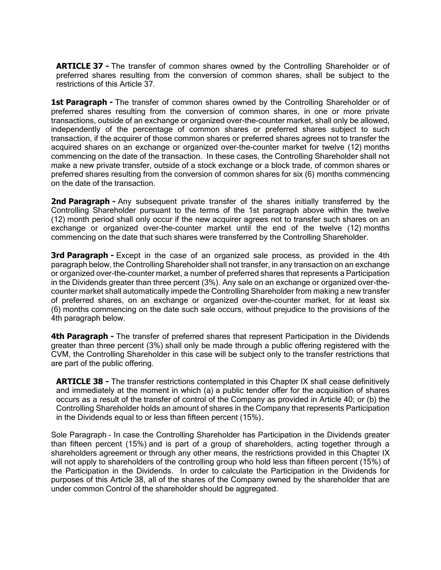**ARTICLE 37 -** The transfer of common shares owned by the Controlling Shareholder or of preferred shares resulting from the conversion of common shares, shall be subject to the restrictions of this Article 37.

**1st Paragraph -** The transfer of common shares owned by the Controlling Shareholder or of preferred shares resulting from the conversion of common shares, in one or more private transactions, outside of an exchange or organized over-the-counter market, shall only be allowed, independently of the percentage of common shares or preferred shares subject to such transaction, if the acquirer of those common shares or preferred shares agrees not to transfer the acquired shares on an exchange or organized over-the-counter market for twelve (12) months commencing on the date of the transaction. In these cases, the Controlling Shareholder shall not make a new private transfer, outside of a stock exchange or a block trade, of common shares or preferred shares resulting from the conversion of common shares for six (6) months commencing on the date of the transaction.

**2nd Paragraph -** Any subsequent private transfer of the shares initially transferred by the Controlling Shareholder pursuant to the terms of the 1st paragraph above within the twelve (12) month period shall only occur if the new acquirer agrees not to transfer such shares on an exchange or organized over-the-counter market until the end of the twelve (12) months commencing on the date that such shares were transferred by the Controlling Shareholder.

**3rd Paragraph -** Except in the case of an organized sale process, as provided in the 4th paragraph below, the Controlling Shareholder shall not transfer, in any transaction on an exchange or organized over-the-counter market, a number of preferred shares that represents a Participation in the Dividends greater than three percent (3%). Any sale on an exchange or organized over-thecounter market shall automatically impede the Controlling Shareholder from making a new transfer of preferred shares, on an exchange or organized over-the-counter market, for at least six (6) months commencing on the date such sale occurs, without prejudice to the provisions of the 4th paragraph below.

**4th Paragraph -** The transfer of preferred shares that represent Participation in the Dividends greater than three percent (3%) shall only be made through a public offering registered with the CVM, the Controlling Shareholder in this case will be subject only to the transfer restrictions that are part of the public offering.

**ARTICLE 38 -** The transfer restrictions contemplated in this Chapter IX shall cease definitively and immediately at the moment in which (a) a public tender offer for the acquisition of shares occurs as a result of the transfer of control of the Company as provided in Article 40; or (b) the Controlling Shareholder holds an amount of shares in the Company that represents Participation in the Dividends equal to or less than fifteen percent (15%).

Sole Paragraph – In case the Controlling Shareholder has Participation in the Dividends greater than fifteen percent (15%) and is part of a group of shareholders, acting together through a shareholders agreement or through any other means, the restrictions provided in this Chapter IX will not apply to shareholders of the controlling group who hold less than fifteen percent (15%) of the Participation in the Dividends. In order to calculate the Participation in the Dividends for purposes of this Article 38, all of the shares of the Company owned by the shareholder that are under common Control of the shareholder should be aggregated.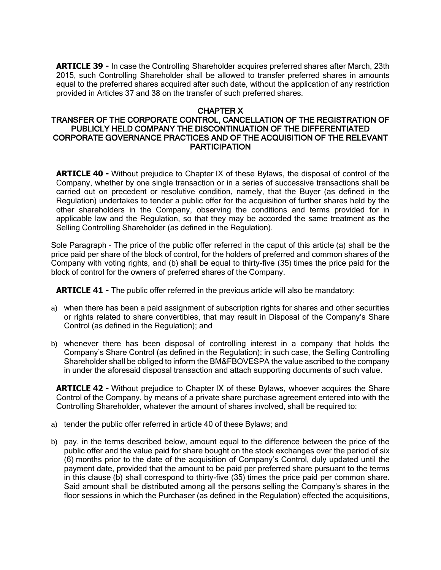**ARTICLE 39 -** In case the Controlling Shareholder acquires preferred shares after March, 23th 2015, such Controlling Shareholder shall be allowed to transfer preferred shares in amounts equal to the preferred shares acquired after such date, without the application of any restriction provided in Articles 37 and 38 on the transfer of such preferred shares.

### CHAPTER X

#### TRANSFER OF THE CORPORATE CONTROL, CANCELLATION OF THE REGISTRATION OF PUBLICLY HELD COMPANY THE DISCONTINUATION OF THE DIFFERENTIATED CORPORATE GOVERNANCE PRACTICES AND OF THE ACQUISITION OF THE RELEVANT **PARTICIPATION**

**ARTICLE 40 -** Without prejudice to Chapter IX of these Bylaws, the disposal of control of the Company, whether by one single transaction or in a series of successive transactions shall be carried out on precedent or resolutive condition, namely, that the Buyer (as defined in the Regulation) undertakes to tender a public offer for the acquisition of further shares held by the other shareholders in the Company, observing the conditions and terms provided for in applicable law and the Regulation, so that they may be accorded the same treatment as the Selling Controlling Shareholder (as defined in the Regulation).

Sole Paragraph - The price of the public offer referred in the caput of this article (a) shall be the price paid per share of the block of control, for the holders of preferred and common shares of the Company with voting rights, and (b) shall be equal to thirty-five (35) times the price paid for the block of control for the owners of preferred shares of the Company.

**ARTICLE 41 -** The public offer referred in the previous article will also be mandatory:

- a) when there has been a paid assignment of subscription rights for shares and other securities or rights related to share convertibles, that may result in Disposal of the Company's Share Control (as defined in the Regulation); and
- b) whenever there has been disposal of controlling interest in a company that holds the Company's Share Control (as defined in the Regulation); in such case, the Selling Controlling Shareholder shall be obliged to inform the BM&FBOVESPA the value ascribed to the company in under the aforesaid disposal transaction and attach supporting documents of such value.

**ARTICLE 42 -** Without prejudice to Chapter IX of these Bylaws, whoever acquires the Share Control of the Company, by means of a private share purchase agreement entered into with the Controlling Shareholder, whatever the amount of shares involved, shall be required to:

- a) tender the public offer referred in article 40 of these Bylaws; and
- b) pay, in the terms described below, amount equal to the difference between the price of the public offer and the value paid for share bought on the stock exchanges over the period of six (6) months prior to the date of the acquisition of Company's Control, duly updated until the payment date, provided that the amount to be paid per preferred share pursuant to the terms in this clause (b) shall correspond to thirty-five (35) times the price paid per common share. Said amount shall be distributed among all the persons selling the Company's shares in the floor sessions in which the Purchaser (as defined in the Regulation) effected the acquisitions,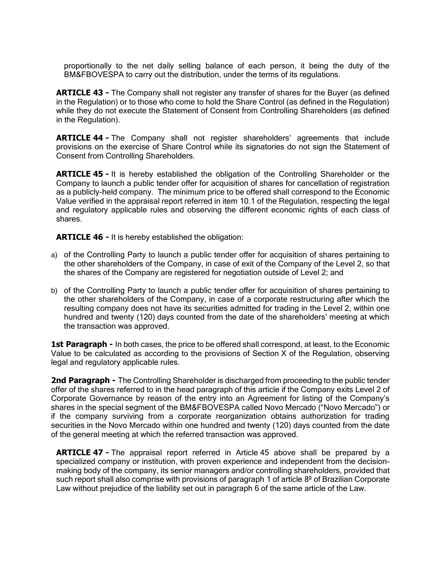proportionally to the net daily selling balance of each person, it being the duty of the BM&FBOVESPA to carry out the distribution, under the terms of its regulations.

**ARTICLE 43 -** The Company shall not register any transfer of shares for the Buyer (as defined in the Regulation) or to those who come to hold the Share Control (as defined in the Regulation) while they do not execute the Statement of Consent from Controlling Shareholders (as defined in the Regulation).

**ARTICLE 44 -** The Company shall not register shareholders' agreements that include provisions on the exercise of Share Control while its signatories do not sign the Statement of Consent from Controlling Shareholders.

**ARTICLE 45 -** It is hereby established the obligation of the Controlling Shareholder or the Company to launch a public tender offer for acquisition of shares for cancellation of registration as a publicly-held company. The minimum price to be offered shall correspond to the Economic Value verified in the appraisal report referred in item 10.1 of the Regulation, respecting the legal and regulatory applicable rules and observing the different economic rights of each class of shares.

**ARTICLE 46 -** It is hereby established the obligation:

- a) of the Controlling Party to launch a public tender offer for acquisition of shares pertaining to the other shareholders of the Company, in case of exit of the Company of the Level 2, so that the shares of the Company are registered for negotiation outside of Level 2; and
- b) of the Controlling Party to launch a public tender offer for acquisition of shares pertaining to the other shareholders of the Company, in case of a corporate restructuring after which the resulting company does not have its securities admitted for trading in the Level 2, within one hundred and twenty (120) days counted from the date of the shareholders' meeting at which the transaction was approved.

**1st Paragraph -** In both cases, the price to be offered shall correspond, at least, to the Economic Value to be calculated as according to the provisions of Section X of the Regulation, observing legal and regulatory applicable rules.

**2nd Paragraph -** The Controlling Shareholder is discharged from proceeding to the public tender offer of the shares referred to in the head paragraph of this article if the Company exits Level 2 of Corporate Governance by reason of the entry into an Agreement for listing of the Company's shares in the special segment of the BM&FBOVESPA called Novo Mercado ("Novo Mercado") or if the company surviving from a corporate reorganization obtains authorization for trading securities in the Novo Mercado within one hundred and twenty (120) days counted from the date of the general meeting at which the referred transaction was approved.

**ARTICLE 47 -** The appraisal report referred in Article 45 above shall be prepared by a specialized company or institution, with proven experience and independent from the decisionmaking body of the company, its senior managers and/or controlling shareholders, provided that such report shall also comprise with provisions of paragraph 1 of article 8<sup>o</sup> of Brazilian Corporate Law without prejudice of the liability set out in paragraph 6 of the same article of the Law.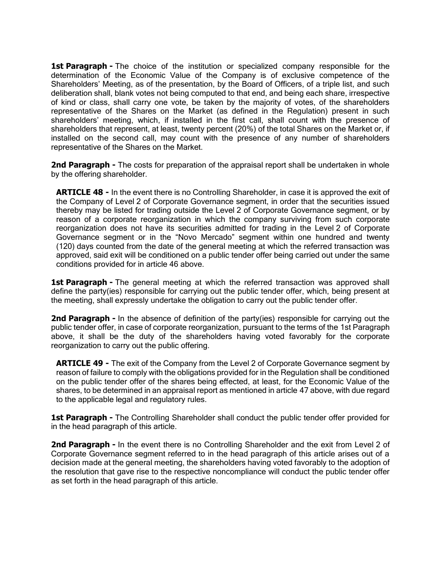**1st Paragraph -** The choice of the institution or specialized company responsible for the determination of the Economic Value of the Company is of exclusive competence of the Shareholders' Meeting, as of the presentation, by the Board of Officers, of a triple list, and such deliberation shall, blank votes not being computed to that end, and being each share, irrespective of kind or class, shall carry one vote, be taken by the majority of votes, of the shareholders representative of the Shares on the Market (as defined in the Regulation) present in such shareholders' meeting, which, if installed in the first call, shall count with the presence of shareholders that represent, at least, twenty percent (20%) of the total Shares on the Market or, if installed on the second call, may count with the presence of any number of shareholders representative of the Shares on the Market.

**2nd Paragraph -** The costs for preparation of the appraisal report shall be undertaken in whole by the offering shareholder.

**ARTICLE 48 -** In the event there is no Controlling Shareholder, in case it is approved the exit of the Company of Level 2 of Corporate Governance segment, in order that the securities issued thereby may be listed for trading outside the Level 2 of Corporate Governance segment, or by reason of a corporate reorganization in which the company surviving from such corporate reorganization does not have its securities admitted for trading in the Level 2 of Corporate Governance segment or in the "Novo Mercado" segment within one hundred and twenty (120) days counted from the date of the general meeting at which the referred transaction was approved, said exit will be conditioned on a public tender offer being carried out under the same conditions provided for in article 46 above.

**1st Paragraph -** The general meeting at which the referred transaction was approved shall define the party(ies) responsible for carrying out the public tender offer, which, being present at the meeting, shall expressly undertake the obligation to carry out the public tender offer.

**2nd Paragraph -** In the absence of definition of the party(ies) responsible for carrying out the public tender offer, in case of corporate reorganization, pursuant to the terms of the 1st Paragraph above, it shall be the duty of the shareholders having voted favorably for the corporate reorganization to carry out the public offering.

**ARTICLE 49 -** The exit of the Company from the Level 2 of Corporate Governance segment by reason of failure to comply with the obligations provided for in the Regulation shall be conditioned on the public tender offer of the shares being effected, at least, for the Economic Value of the shares, to be determined in an appraisal report as mentioned in article 47 above, with due regard to the applicable legal and regulatory rules.

1st Paragraph - The Controlling Shareholder shall conduct the public tender offer provided for in the head paragraph of this article.

**2nd Paragraph -** In the event there is no Controlling Shareholder and the exit from Level 2 of Corporate Governance segment referred to in the head paragraph of this article arises out of a decision made at the general meeting, the shareholders having voted favorably to the adoption of the resolution that gave rise to the respective noncompliance will conduct the public tender offer as set forth in the head paragraph of this article.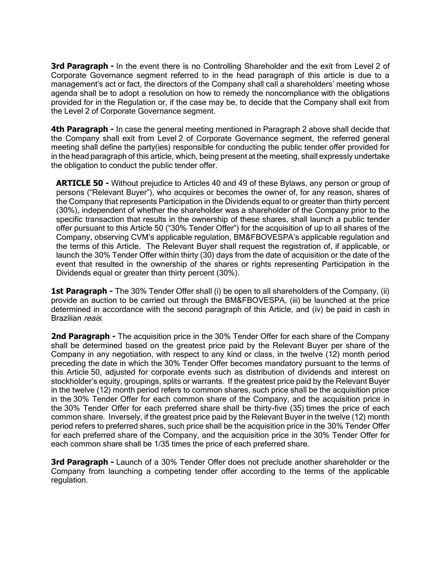**3rd Paragraph -** In the event there is no Controlling Shareholder and the exit from Level 2 of Corporate Governance segment referred to in the head paragraph of this article is due to a management's act or fact, the directors of the Company shall call a shareholders' meeting whose agenda shall be to adopt a resolution on how to remedy the noncompliance with the obligations provided for in the Regulation or, if the case may be, to decide that the Company shall exit from the Level 2 of Corporate Governance segment.

**4th Paragraph -** In case the general meeting mentioned in Paragraph 2 above shall decide that the Company shall exit from Level 2 of Corporate Governance segment, the referred general meeting shall define the party(ies) responsible for conducting the public tender offer provided for in the head paragraph of this article, which, being present at the meeting, shall expressly undertake the obligation to conduct the public tender offer.

**ARTICLE 50 -** Without prejudice to Articles 40 and 49 of these Bylaws, any person or group of persons ("Relevant Buyer"), who acquires or becomes the owner of, for any reason, shares of the Company that represents Participation in the Dividends equal to or greater than thirty percent (30%), independent of whether the shareholder was a shareholder of the Company prior to the specific transaction that results in the ownership of these shares, shall launch a public tender offer pursuant to this Article 50 ("30% Tender Offer") for the acquisition of up to all shares of the Company, observing CVM's applicable regulation, BM&FBOVESPA's applicable regulation and the terms of this Article. The Relevant Buyer shall request the registration of, if applicable, or launch the 30% Tender Offer within thirty (30) days from the date of acquisition or the date of the event that resulted in the ownership of the shares or rights representing Participation in the Dividends equal or greater than thirty percent (30%).

**1st Paragraph -** The 30% Tender Offer shall (i) be open to all shareholders of the Company, (ii) provide an auction to be carried out through the BM&FBOVESPA, (iii) be launched at the price determined in accordance with the second paragraph of this Article, and (iv) be paid in cash in Brazilian reais.

**2nd Paragraph -** The acquisition price in the 30% Tender Offer for each share of the Company shall be determined based on the greatest price paid by the Relevant Buyer per share of the Company in any negotiation, with respect to any kind or class, in the twelve (12) month period preceding the date in which the 30% Tender Offer becomes mandatory pursuant to the terms of this Article 50, adjusted for corporate events such as distribution of dividends and interest on stockholder's equity, groupings, splits or warrants. If the greatest price paid by the Relevant Buyer in the twelve (12) month period refers to common shares, such price shall be the acquisition price in the 30% Tender Offer for each common share of the Company, and the acquisition price in the 30% Tender Offer for each preferred share shall be thirty-five (35) times the price of each common share. Inversely, if the greatest price paid by the Relevant Buyer in the twelve (12) month period refers to preferred shares, such price shall be the acquisition price in the 30% Tender Offer for each preferred share of the Company, and the acquisition price in the 30% Tender Offer for each common share shall be 1/35 times the price of each preferred share.

**3rd Paragraph -** Launch of a 30% Tender Offer does not preclude another shareholder or the Company from launching a competing tender offer according to the terms of the applicable regulation.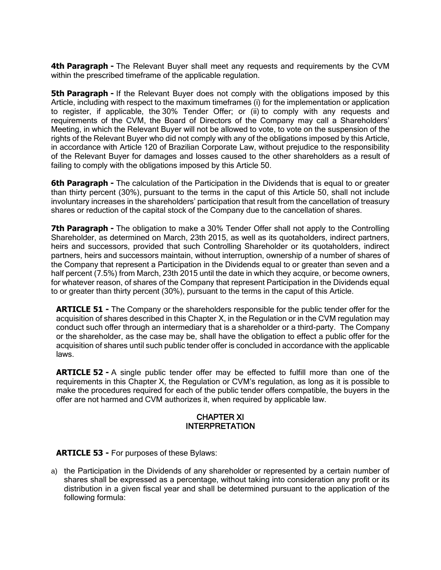**4th Paragraph -** The Relevant Buyer shall meet any requests and requirements by the CVM within the prescribed timeframe of the applicable regulation.

**5th Paragraph -** If the Relevant Buyer does not comply with the obligations imposed by this Article, including with respect to the maximum timeframes (i) for the implementation or application to register, if applicable, the 30% Tender Offer; or (ii) to comply with any requests and requirements of the CVM, the Board of Directors of the Company may call a Shareholders' Meeting, in which the Relevant Buyer will not be allowed to vote, to vote on the suspension of the rights of the Relevant Buyer who did not comply with any of the obligations imposed by this Article, in accordance with Article 120 of Brazilian Corporate Law, without prejudice to the responsibility of the Relevant Buyer for damages and losses caused to the other shareholders as a result of failing to comply with the obligations imposed by this Article 50.

**6th Paragraph -** The calculation of the Participation in the Dividends that is equal to or greater than thirty percent (30%), pursuant to the terms in the caput of this Article 50, shall not include involuntary increases in the shareholders' participation that result from the cancellation of treasury shares or reduction of the capital stock of the Company due to the cancellation of shares.

**7th Paragraph -** The obligation to make a 30% Tender Offer shall not apply to the Controlling Shareholder, as determined on March, 23th 2015, as well as its quotaholders, indirect partners, heirs and successors, provided that such Controlling Shareholder or its quotaholders, indirect partners, heirs and successors maintain, without interruption, ownership of a number of shares of the Company that represent a Participation in the Dividends equal to or greater than seven and a half percent (7.5%) from March, 23th 2015 until the date in which they acquire, or become owners, for whatever reason, of shares of the Company that represent Participation in the Dividends equal to or greater than thirty percent (30%), pursuant to the terms in the caput of this Article.

**ARTICLE 51 -** The Company or the shareholders responsible for the public tender offer for the acquisition of shares described in this Chapter X, in the Regulation or in the CVM regulation may conduct such offer through an intermediary that is a shareholder or a third-party. The Company or the shareholder, as the case may be, shall have the obligation to effect a public offer for the acquisition of shares until such public tender offer is concluded in accordance with the applicable laws.

**ARTICLE 52 -** A single public tender offer may be effected to fulfill more than one of the requirements in this Chapter X, the Regulation or CVM's regulation, as long as it is possible to make the procedures required for each of the public tender offers compatible, the buyers in the offer are not harmed and CVM authorizes it, when required by applicable law.

### CHAPTER XI INTERPRETATION

**ARTICLE 53 -** For purposes of these Bylaws:

a) the Participation in the Dividends of any shareholder or represented by a certain number of shares shall be expressed as a percentage, without taking into consideration any profit or its distribution in a given fiscal year and shall be determined pursuant to the application of the following formula: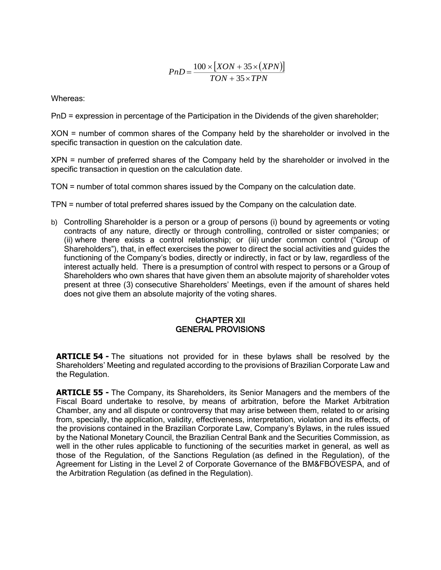$$
PnD = \frac{100 \times [XON + 35 \times (XPN)]}{TON + 35 \times TPN}
$$

Whereas:

PnD = expression in percentage of the Participation in the Dividends of the given shareholder;

XON = number of common shares of the Company held by the shareholder or involved in the specific transaction in question on the calculation date.

XPN = number of preferred shares of the Company held by the shareholder or involved in the specific transaction in question on the calculation date.

TON = number of total common shares issued by the Company on the calculation date.

TPN = number of total preferred shares issued by the Company on the calculation date.

b) Controlling Shareholder is a person or a group of persons (i) bound by agreements or voting contracts of any nature, directly or through controlling, controlled or sister companies; or (ii) where there exists a control relationship; or (iii) under common control ("Group of Shareholders"), that, in effect exercises the power to direct the social activities and guides the functioning of the Company's bodies, directly or indirectly, in fact or by law, regardless of the interest actually held. There is a presumption of control with respect to persons or a Group of Shareholders who own shares that have given them an absolute majority of shareholder votes present at three (3) consecutive Shareholders' Meetings, even if the amount of shares held does not give them an absolute majority of the voting shares.

#### CHAPTER XII GENERAL PROVISIONS

**ARTICLE 54 -** The situations not provided for in these bylaws shall be resolved by the Shareholders' Meeting and regulated according to the provisions of Brazilian Corporate Law and the Regulation.

**ARTICLE 55 -** The Company, its Shareholders, its Senior Managers and the members of the Fiscal Board undertake to resolve, by means of arbitration, before the Market Arbitration Chamber, any and all dispute or controversy that may arise between them, related to or arising from, specially, the application, validity, effectiveness, interpretation, violation and its effects, of the provisions contained in the Brazilian Corporate Law, Company's Bylaws, in the rules issued by the National Monetary Council, the Brazilian Central Bank and the Securities Commission, as well in the other rules applicable to functioning of the securities market in general, as well as those of the Regulation, of the Sanctions Regulation (as defined in the Regulation), of the Agreement for Listing in the Level 2 of Corporate Governance of the BM&FBOVESPA, and of the Arbitration Regulation (as defined in the Regulation).